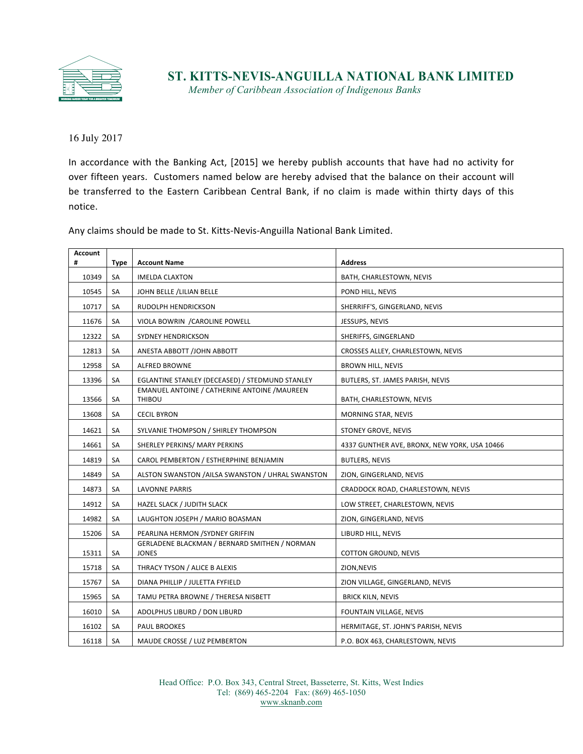

## **ST. KITTS-NEVIS-ANGUILLA NATIONAL BANK LIMITED**

*Member of Caribbean Association of Indigenous Banks*

July 2017

In accordance with the Banking Act, [2015] we hereby publish accounts that have had no activity for over fifteen years. Customers named below are hereby advised that the balance on their account will be transferred to the Eastern Caribbean Central Bank, if no claim is made within thirty days of this notice. 

Any claims should be made to St. Kitts-Nevis-Anguilla National Bank Limited.

| <b>Account</b><br># | <b>Type</b> | <b>Account Name</b>                                                  | <b>Address</b>                               |
|---------------------|-------------|----------------------------------------------------------------------|----------------------------------------------|
| 10349               | SA          | <b>IMELDA CLAXTON</b>                                                | BATH, CHARLESTOWN, NEVIS                     |
| 10545               | <b>SA</b>   | JOHN BELLE /LILIAN BELLE                                             | POND HILL, NEVIS                             |
| 10717               | <b>SA</b>   | RUDOLPH HENDRICKSON                                                  | SHERRIFF'S, GINGERLAND, NEVIS                |
| 11676               | SA          | VIOLA BOWRIN / CAROLINE POWELL                                       | JESSUPS, NEVIS                               |
| 12322               | <b>SA</b>   | <b>SYDNEY HENDRICKSON</b>                                            | SHERIFFS, GINGERLAND                         |
| 12813               | SA          | ANESTA ABBOTT /JOHN ABBOTT                                           | CROSSES ALLEY, CHARLESTOWN, NEVIS            |
| 12958               | <b>SA</b>   | <b>ALFRED BROWNE</b>                                                 | <b>BROWN HILL, NEVIS</b>                     |
| 13396               | SA          | EGLANTINE STANLEY (DECEASED) / STEDMUND STANLEY                      | BUTLERS, ST. JAMES PARISH, NEVIS             |
| 13566               | <b>SA</b>   | <b>EMANUEL ANTOINE / CATHERINE ANTOINE /MAUREEN</b><br><b>THIBOU</b> | BATH, CHARLESTOWN, NEVIS                     |
| 13608               | SA          | <b>CECIL BYRON</b>                                                   | MORNING STAR, NEVIS                          |
| 14621               | SA          | SYLVANIE THOMPSON / SHIRLEY THOMPSON                                 | STONEY GROVE, NEVIS                          |
| 14661               | <b>SA</b>   | SHERLEY PERKINS/ MARY PERKINS                                        | 4337 GUNTHER AVE, BRONX, NEW YORK, USA 10466 |
| 14819               | <b>SA</b>   | CAROL PEMBERTON / ESTHERPHINE BENJAMIN                               | <b>BUTLERS, NEVIS</b>                        |
| 14849               | SA          | ALSTON SWANSTON /AILSA SWANSTON / UHRAL SWANSTON                     | ZION, GINGERLAND, NEVIS                      |
| 14873               | SA          | LAVONNE PARRIS                                                       | CRADDOCK ROAD, CHARLESTOWN, NEVIS            |
| 14912               | <b>SA</b>   | HAZEL SLACK / JUDITH SLACK                                           | LOW STREET, CHARLESTOWN, NEVIS               |
| 14982               | <b>SA</b>   | LAUGHTON JOSEPH / MARIO BOASMAN                                      | ZION, GINGERLAND, NEVIS                      |
| 15206               | SA          | PEARLINA HERMON / SYDNEY GRIFFIN                                     | LIBURD HILL, NEVIS                           |
| 15311               | SA          | <b>GERLADENE BLACKMAN / BERNARD SMITHEN / NORMAN</b><br><b>JONES</b> | COTTON GROUND, NEVIS                         |
| 15718               | SA          | THRACY TYSON / ALICE B ALEXIS                                        | ZION, NEVIS                                  |
| 15767               | SA          | DIANA PHILLIP / JULETTA FYFIELD                                      | ZION VILLAGE, GINGERLAND, NEVIS              |
| 15965               | <b>SA</b>   | TAMU PETRA BROWNE / THERESA NISBETT                                  | <b>BRICK KILN, NEVIS</b>                     |
| 16010               | <b>SA</b>   | ADOLPHUS LIBURD / DON LIBURD                                         | FOUNTAIN VILLAGE, NEVIS                      |
| 16102               | SA          | PAUL BROOKES                                                         | HERMITAGE, ST. JOHN'S PARISH, NEVIS          |
| 16118               | SA          | MAUDE CROSSE / LUZ PEMBERTON                                         | P.O. BOX 463, CHARLESTOWN, NEVIS             |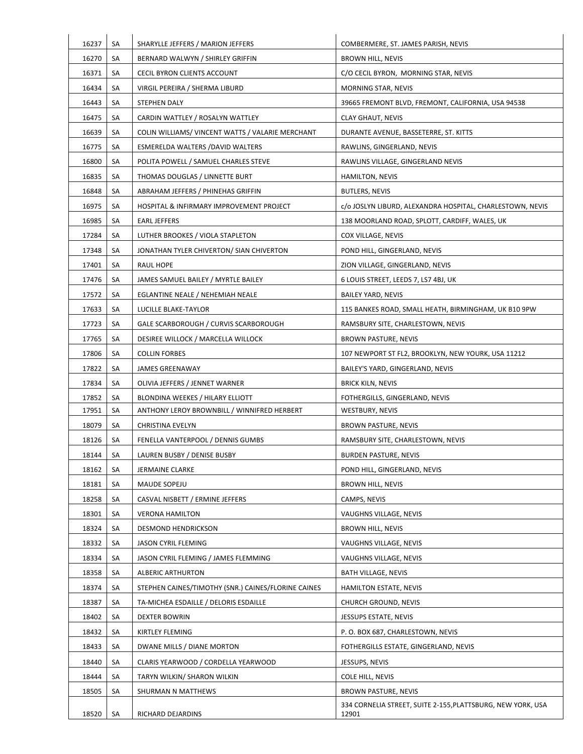| 16237 | SA | SHARYLLE JEFFERS / MARION JEFFERS                   | COMBERMERE, ST. JAMES PARISH, NEVIS                         |
|-------|----|-----------------------------------------------------|-------------------------------------------------------------|
| 16270 | SA | BERNARD WALWYN / SHIRLEY GRIFFIN                    | BROWN HILL, NEVIS                                           |
| 16371 | SA | CECIL BYRON CLIENTS ACCOUNT                         | C/O CECIL BYRON, MORNING STAR, NEVIS                        |
| 16434 | SA | VIRGIL PEREIRA / SHERMA LIBURD                      | MORNING STAR, NEVIS                                         |
| 16443 | SA | STEPHEN DALY                                        | 39665 FREMONT BLVD, FREMONT, CALIFORNIA, USA 94538          |
| 16475 | SA | CARDIN WATTLEY / ROSALYN WATTLEY                    | <b>CLAY GHAUT, NEVIS</b>                                    |
| 16639 | SA | COLIN WILLIAMS/ VINCENT WATTS / VALARIE MERCHANT    | DURANTE AVENUE, BASSETERRE, ST. KITTS                       |
| 16775 | SA | ESMERELDA WALTERS / DAVID WALTERS                   | RAWLINS, GINGERLAND, NEVIS                                  |
| 16800 | SA | POLITA POWELL / SAMUEL CHARLES STEVE                | RAWLINS VILLAGE, GINGERLAND NEVIS                           |
| 16835 | SA | THOMAS DOUGLAS / LINNETTE BURT                      | <b>HAMILTON, NEVIS</b>                                      |
| 16848 | SA | ABRAHAM JEFFERS / PHINEHAS GRIFFIN                  | <b>BUTLERS, NEVIS</b>                                       |
| 16975 | SA | HOSPITAL & INFIRMARY IMPROVEMENT PROJECT            | c/o JOSLYN LIBURD, ALEXANDRA HOSPITAL, CHARLESTOWN, NEVIS   |
| 16985 | SA | <b>EARL JEFFERS</b>                                 | 138 MOORLAND ROAD, SPLOTT, CARDIFF, WALES, UK               |
| 17284 | SA | LUTHER BROOKES / VIOLA STAPLETON                    | COX VILLAGE, NEVIS                                          |
| 17348 | SA | JONATHAN TYLER CHIVERTON/ SIAN CHIVERTON            | POND HILL, GINGERLAND, NEVIS                                |
| 17401 | SA | <b>RAUL HOPE</b>                                    | ZION VILLAGE, GINGERLAND, NEVIS                             |
| 17476 | SA | JAMES SAMUEL BAILEY / MYRTLE BAILEY                 | 6 LOUIS STREET, LEEDS 7, LS7 4BJ, UK                        |
| 17572 | SA | EGLANTINE NEALE / NEHEMIAH NEALE                    | <b>BAILEY YARD, NEVIS</b>                                   |
| 17633 | SA | LUCILLE BLAKE-TAYLOR                                | 115 BANKES ROAD, SMALL HEATH, BIRMINGHAM, UK B10 9PW        |
| 17723 | SA | GALE SCARBOROUGH / CURVIS SCARBOROUGH               | RAMSBURY SITE, CHARLESTOWN, NEVIS                           |
| 17765 | SA | DESIREE WILLOCK / MARCELLA WILLOCK                  | BROWN PASTURE, NEVIS                                        |
| 17806 | SA | <b>COLLIN FORBES</b>                                | 107 NEWPORT ST FL2, BROOKLYN, NEW YOURK, USA 11212          |
| 17822 | SA | JAMES GREENAWAY                                     | BAILEY'S YARD, GINGERLAND, NEVIS                            |
| 17834 | SA | OLIVIA JEFFERS / JENNET WARNER                      | <b>BRICK KILN, NEVIS</b>                                    |
| 17852 | SA | BLONDINA WEEKES / HILARY ELLIOTT                    | FOTHERGILLS, GINGERLAND, NEVIS                              |
| 17951 | SA | ANTHONY LEROY BROWNBILL / WINNIFRED HERBERT         | WESTBURY, NEVIS                                             |
| 18079 | SA | CHRISTINA EVELYN                                    | BROWN PASTURE, NEVIS                                        |
| 18126 | SA | FENELLA VANTERPOOL / DENNIS GUMBS                   | RAMSBURY SITE, CHARLESTOWN, NEVIS                           |
| 18144 | SA | LAUREN BUSBY / DENISE BUSBY                         | <b>BURDEN PASTURE, NEVIS</b>                                |
| 18162 | SA | <b>JERMAINE CLARKE</b>                              | POND HILL, GINGERLAND, NEVIS                                |
| 18181 | SA | MAUDE SOPEJU                                        | <b>BROWN HILL, NEVIS</b>                                    |
| 18258 | SA | CASVAL NISBETT / ERMINE JEFFERS                     | CAMPS, NEVIS                                                |
| 18301 | SA | <b>VERONA HAMILTON</b>                              | VAUGHNS VILLAGE, NEVIS                                      |
| 18324 | SA | <b>DESMOND HENDRICKSON</b>                          | <b>BROWN HILL, NEVIS</b>                                    |
| 18332 | SA | <b>JASON CYRIL FLEMING</b>                          | VAUGHNS VILLAGE, NEVIS                                      |
| 18334 | SA | JASON CYRIL FLEMING / JAMES FLEMMING                | VAUGHNS VILLAGE, NEVIS                                      |
| 18358 | SA | <b>ALBERIC ARTHURTON</b>                            | BATH VILLAGE, NEVIS                                         |
| 18374 | SA | STEPHEN CAINES/TIMOTHY (SNR.) CAINES/FLORINE CAINES | HAMILTON ESTATE, NEVIS                                      |
| 18387 | SA | TA-MICHEA ESDAILLE / DELORIS ESDAILLE               | CHURCH GROUND, NEVIS                                        |
| 18402 | SA | DEXTER BOWRIN                                       | JESSUPS ESTATE, NEVIS                                       |
| 18432 | SA | KIRTLEY FLEMING                                     | P.O. BOX 687, CHARLESTOWN, NEVIS                            |
| 18433 | SA | DWANE MILLS / DIANE MORTON                          | FOTHERGILLS ESTATE, GINGERLAND, NEVIS                       |
| 18440 | SA | CLARIS YEARWOOD / CORDELLA YEARWOOD                 | JESSUPS, NEVIS                                              |
| 18444 | SA | TARYN WILKIN/ SHARON WILKIN                         | <b>COLE HILL, NEVIS</b>                                     |
| 18505 | SA | SHURMAN N MATTHEWS                                  | BROWN PASTURE, NEVIS                                        |
|       |    |                                                     | 334 CORNELIA STREET, SUITE 2-155, PLATTSBURG, NEW YORK, USA |
| 18520 | SA | RICHARD DEJARDINS                                   | 12901                                                       |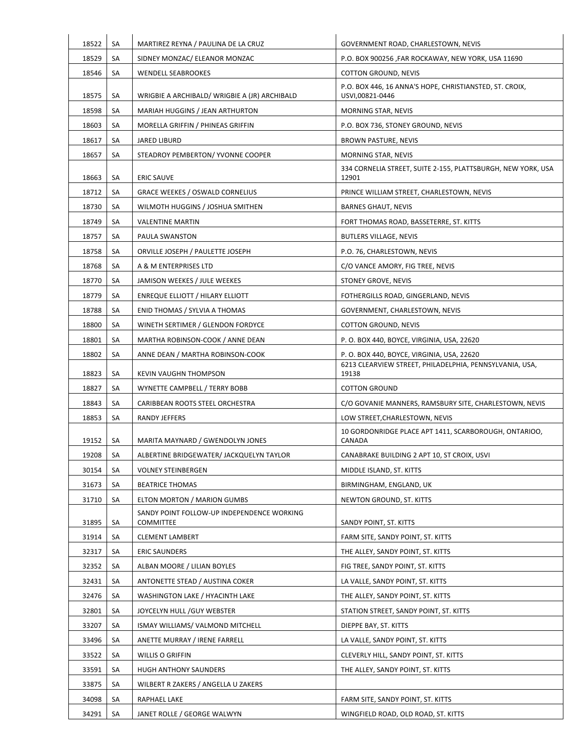| 18522 |          |                                                                      |                                                                                           |
|-------|----------|----------------------------------------------------------------------|-------------------------------------------------------------------------------------------|
| 18529 | SA<br>SA | MARTIREZ REYNA / PAULINA DE LA CRUZ<br>SIDNEY MONZAC/ ELEANOR MONZAC | GOVERNMENT ROAD, CHARLESTOWN, NEVIS<br>P.O. BOX 900256 ,FAR ROCKAWAY, NEW YORK, USA 11690 |
| 18546 | SA       | <b>WENDELL SEABROOKES</b>                                            | COTTON GROUND, NEVIS                                                                      |
| 18575 | SA       | WRIGBIE A ARCHIBALD/ WRIGBIE A (JR) ARCHIBALD                        | P.O. BOX 446, 16 ANNA'S HOPE, CHRISTIANSTED, ST. CROIX,<br>USVI,00821-0446                |
| 18598 | SA       | <b>MARIAH HUGGINS / JEAN ARTHURTON</b>                               | MORNING STAR, NEVIS                                                                       |
| 18603 | SA       | MORELLA GRIFFIN / PHINEAS GRIFFIN                                    | P.O. BOX 736, STONEY GROUND, NEVIS                                                        |
| 18617 | SA       | JARED LIBURD                                                         | <b>BROWN PASTURE, NEVIS</b>                                                               |
| 18657 | SA       | STEADROY PEMBERTON/ YVONNE COOPER                                    | MORNING STAR, NEVIS                                                                       |
| 18663 | SA       | <b>ERIC SAUVE</b>                                                    | 334 CORNELIA STREET, SUITE 2-155, PLATTSBURGH, NEW YORK, USA<br>12901                     |
| 18712 | SA       | <b>GRACE WEEKES / OSWALD CORNELIUS</b>                               | PRINCE WILLIAM STREET, CHARLESTOWN, NEVIS                                                 |
| 18730 | SA       | WILMOTH HUGGINS / JOSHUA SMITHEN                                     | <b>BARNES GHAUT, NEVIS</b>                                                                |
| 18749 | SA       | <b>VALENTINE MARTIN</b>                                              | FORT THOMAS ROAD, BASSETERRE, ST. KITTS                                                   |
| 18757 | SA       | PAULA SWANSTON                                                       | <b>BUTLERS VILLAGE, NEVIS</b>                                                             |
| 18758 | SA       | ORVILLE JOSEPH / PAULETTE JOSEPH                                     | P.O. 76, CHARLESTOWN, NEVIS                                                               |
| 18768 | SA       | A & M ENTERPRISES LTD                                                | C/O VANCE AMORY, FIG TREE, NEVIS                                                          |
| 18770 | SA       | JAMISON WEEKES / JULE WEEKES                                         | STONEY GROVE, NEVIS                                                                       |
| 18779 | SA       | <b>ENREQUE ELLIOTT / HILARY ELLIOTT</b>                              | FOTHERGILLS ROAD, GINGERLAND, NEVIS                                                       |
| 18788 | SA       | ENID THOMAS / SYLVIA A THOMAS                                        | GOVERNMENT, CHARLESTOWN, NEVIS                                                            |
| 18800 | SA       | WINETH SERTIMER / GLENDON FORDYCE                                    | COTTON GROUND, NEVIS                                                                      |
| 18801 | SA       | MARTHA ROBINSON-COOK / ANNE DEAN                                     | P.O. BOX 440, BOYCE, VIRGINIA, USA, 22620                                                 |
| 18802 | SA       | ANNE DEAN / MARTHA ROBINSON-COOK                                     | P.O. BOX 440, BOYCE, VIRGINIA, USA, 22620                                                 |
| 18823 | SA       | <b>KEVIN VAUGHN THOMPSON</b>                                         | 6213 CLEARVIEW STREET, PHILADELPHIA, PENNSYLVANIA, USA,<br>19138                          |
| 18827 | SA       | WYNETTE CAMPBELL / TERRY BOBB                                        | <b>COTTON GROUND</b>                                                                      |
| 18843 | SA       | CARIBBEAN ROOTS STEEL ORCHESTRA                                      | C/O GOVANIE MANNERS, RAMSBURY SITE, CHARLESTOWN, NEVIS                                    |
| 18853 | SA       | RANDY JEFFERS                                                        | LOW STREET, CHARLESTOWN, NEVIS                                                            |
| 19152 | SA       | MARITA MAYNARD / GWENDOLYN JONES                                     | 10 GORDONRIDGE PLACE APT 1411, SCARBOROUGH, ONTARIOO,<br>CANADA                           |
| 19208 | SA       | ALBERTINE BRIDGEWATER/ JACKQUELYN TAYLOR                             | CANABRAKE BUILDING 2 APT 10, ST CROIX, USVI                                               |
| 30154 | SA       | <b>VOLNEY STEINBERGEN</b>                                            | MIDDLE ISLAND, ST. KITTS                                                                  |
| 31673 | SA       | <b>BEATRICE THOMAS</b>                                               | BIRMINGHAM, ENGLAND, UK                                                                   |
| 31710 | SA       | ELTON MORTON / MARION GUMBS                                          | NEWTON GROUND, ST. KITTS                                                                  |
| 31895 | SA       | SANDY POINT FOLLOW-UP INDEPENDENCE WORKING<br><b>COMMITTEE</b>       | SANDY POINT, ST. KITTS                                                                    |
| 31914 | SA       | <b>CLEMENT LAMBERT</b>                                               | FARM SITE, SANDY POINT, ST. KITTS                                                         |
| 32317 | SA       | <b>ERIC SAUNDERS</b>                                                 | THE ALLEY, SANDY POINT, ST. KITTS                                                         |
| 32352 | SA       | ALBAN MOORE / LILIAN BOYLES                                          | FIG TREE, SANDY POINT, ST. KITTS                                                          |
| 32431 | SA       | ANTONETTE STEAD / AUSTINA COKER                                      | LA VALLE, SANDY POINT, ST. KITTS                                                          |
| 32476 | SA       | WASHINGTON LAKE / HYACINTH LAKE                                      | THE ALLEY, SANDY POINT, ST. KITTS                                                         |
| 32801 | SA       | JOYCELYN HULL /GUY WEBSTER                                           | STATION STREET, SANDY POINT, ST. KITTS                                                    |
| 33207 | SA       | ISMAY WILLIAMS/ VALMOND MITCHELL                                     | DIEPPE BAY, ST. KITTS                                                                     |
| 33496 | SA       | ANETTE MURRAY / IRENE FARRELL                                        | LA VALLE, SANDY POINT, ST. KITTS                                                          |
| 33522 | SA       | <b>WILLIS O GRIFFIN</b>                                              | CLEVERLY HILL, SANDY POINT, ST. KITTS                                                     |
| 33591 | SA       | <b>HUGH ANTHONY SAUNDERS</b>                                         | THE ALLEY, SANDY POINT, ST. KITTS                                                         |
| 33875 | SA       | WILBERT R ZAKERS / ANGELLA U ZAKERS                                  |                                                                                           |
| 34098 | SA       | RAPHAEL LAKE                                                         | FARM SITE, SANDY POINT, ST. KITTS                                                         |
| 34291 | SA       | JANET ROLLE / GEORGE WALWYN                                          | WINGFIELD ROAD, OLD ROAD, ST. KITTS                                                       |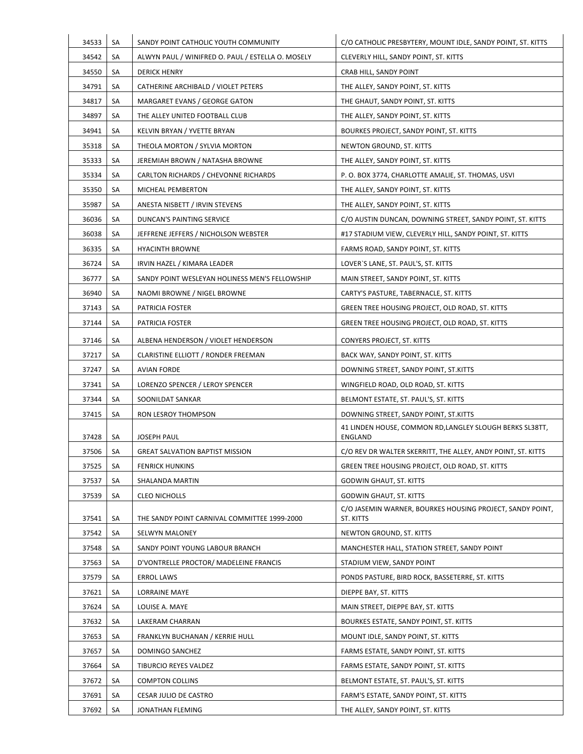| 34533          | SA       | SANDY POINT CATHOLIC YOUTH COMMUNITY                      | C/O CATHOLIC PRESBYTERY, MOUNT IDLE, SANDY POINT, ST. KITTS                    |
|----------------|----------|-----------------------------------------------------------|--------------------------------------------------------------------------------|
| 34542          | SA       | ALWYN PAUL / WINIFRED O. PAUL / ESTELLA O. MOSELY         | CLEVERLY HILL, SANDY POINT, ST. KITTS                                          |
| 34550          | SA       | <b>DERICK HENRY</b>                                       | CRAB HILL, SANDY POINT                                                         |
| 34791          | SA       | CATHERINE ARCHIBALD / VIOLET PETERS                       | THE ALLEY, SANDY POINT, ST. KITTS                                              |
| 34817          | SA       | MARGARET EVANS / GEORGE GATON                             | THE GHAUT, SANDY POINT, ST. KITTS                                              |
| 34897          | SA       | THE ALLEY UNITED FOOTBALL CLUB                            | THE ALLEY, SANDY POINT, ST. KITTS                                              |
| 34941          | SA       | KELVIN BRYAN / YVETTE BRYAN                               | BOURKES PROJECT, SANDY POINT, ST. KITTS                                        |
| 35318          | SA       | THEOLA MORTON / SYLVIA MORTON                             | NEWTON GROUND, ST. KITTS                                                       |
| 35333          | SA       | JEREMIAH BROWN / NATASHA BROWNE                           | THE ALLEY, SANDY POINT, ST. KITTS                                              |
| 35334          | SA       | CARLTON RICHARDS / CHEVONNE RICHARDS                      | P. O. BOX 3774, CHARLOTTE AMALIE, ST. THOMAS, USVI                             |
| 35350          | SA       | MICHEAL PEMBERTON                                         | THE ALLEY, SANDY POINT, ST. KITTS                                              |
| 35987          | SA       | ANESTA NISBETT / IRVIN STEVENS                            | THE ALLEY, SANDY POINT, ST. KITTS                                              |
| 36036          | SA       | DUNCAN'S PAINTING SERVICE                                 | C/O AUSTIN DUNCAN, DOWNING STREET, SANDY POINT, ST. KITTS                      |
| 36038          | SA       | JEFFRENE JEFFERS / NICHOLSON WEBSTER                      | #17 STADIUM VIEW, CLEVERLY HILL, SANDY POINT, ST. KITTS                        |
| 36335          | SA       | <b>HYACINTH BROWNE</b>                                    | FARMS ROAD, SANDY POINT, ST. KITTS                                             |
| 36724          | SA       | IRVIN HAZEL / KIMARA LEADER                               | LOVER`S LANE, ST. PAUL'S, ST. KITTS                                            |
| 36777          | SA       | SANDY POINT WESLEYAN HOLINESS MEN'S FELLOWSHIP            | MAIN STREET, SANDY POINT, ST. KITTS                                            |
| 36940          | SA       | NAOMI BROWNE / NIGEL BROWNE                               | CARTY'S PASTURE, TABERNACLE, ST. KITTS                                         |
| 37143          | SA       | PATRICIA FOSTER                                           | GREEN TREE HOUSING PROJECT, OLD ROAD, ST. KITTS                                |
| 37144          | SA       | PATRICIA FOSTER                                           | GREEN TREE HOUSING PROJECT, OLD ROAD, ST. KITTS                                |
| 37146          |          |                                                           |                                                                                |
|                | SA<br>SA | ALBENA HENDERSON / VIOLET HENDERSON                       | CONYERS PROJECT, ST. KITTS                                                     |
| 37217<br>37247 | SA       | CLARISTINE ELLIOTT / RONDER FREEMAN<br><b>AVIAN FORDE</b> | BACK WAY, SANDY POINT, ST. KITTS                                               |
| 37341          | SA       | LORENZO SPENCER / LEROY SPENCER                           | DOWNING STREET, SANDY POINT, ST.KITTS<br>WINGFIELD ROAD, OLD ROAD, ST. KITTS   |
| 37344          | SA       | SOONILDAT SANKAR                                          |                                                                                |
| 37415          | SA       | RON LESROY THOMPSON                                       | BELMONT ESTATE, ST. PAUL'S, ST. KITTS<br>DOWNING STREET, SANDY POINT, ST.KITTS |
|                |          |                                                           | 41 LINDEN HOUSE, COMMON RD, LANGLEY SLOUGH BERKS SL38TT,                       |
| 37428          | SA       | <b>JOSEPH PAUL</b>                                        | ENGLAND                                                                        |
| 37506          | SA       | <b>GREAT SALVATION BAPTIST MISSION</b>                    | C/O REV DR WALTER SKERRITT, THE ALLEY, ANDY POINT, ST. KITTS                   |
| 37525          | SA       | <b>FENRICK HUNKINS</b>                                    | GREEN TREE HOUSING PROJECT, OLD ROAD, ST. KITTS                                |
| 37537          | SA       | SHALANDA MARTIN                                           | <b>GODWIN GHAUT, ST. KITTS</b>                                                 |
| 37539          | SA       | <b>CLEO NICHOLLS</b>                                      | <b>GODWIN GHAUT, ST. KITTS</b>                                                 |
| 37541          | SA       | THE SANDY POINT CARNIVAL COMMITTEE 1999-2000              | C/O JASEMIN WARNER, BOURKES HOUSING PROJECT, SANDY POINT,<br>ST. KITTS         |
| 37542          | SA       | SELWYN MALONEY                                            | NEWTON GROUND, ST. KITTS                                                       |
| 37548          | SA       | SANDY POINT YOUNG LABOUR BRANCH                           | MANCHESTER HALL, STATION STREET, SANDY POINT                                   |
| 37563          | SA       | D'VONTRELLE PROCTOR/ MADELEINE FRANCIS                    | STADIUM VIEW, SANDY POINT                                                      |
| 37579          | SA       | <b>ERROL LAWS</b>                                         | PONDS PASTURE, BIRD ROCK, BASSETERRE, ST. KITTS                                |
| 37621          | SA       | <b>LORRAINE MAYE</b>                                      | DIEPPE BAY, ST. KITTS                                                          |
| 37624          | SA       | LOUISE A. MAYE                                            | MAIN STREET, DIEPPE BAY, ST. KITTS                                             |
| 37632          | SA       | LAKERAM CHARRAN                                           | BOURKES ESTATE, SANDY POINT, ST. KITTS                                         |
| 37653          | SA       | FRANKLYN BUCHANAN / KERRIE HULL                           | MOUNT IDLE, SANDY POINT, ST. KITTS                                             |
| 37657          | SA       | DOMINGO SANCHEZ                                           | FARMS ESTATE, SANDY POINT, ST. KITTS                                           |
| 37664          | SA       | TIBURCIO REYES VALDEZ                                     | FARMS ESTATE, SANDY POINT, ST. KITTS                                           |
| 37672          | SA       | <b>COMPTON COLLINS</b>                                    | BELMONT ESTATE, ST. PAUL'S, ST. KITTS                                          |
| 37691          | SA       | CESAR JULIO DE CASTRO                                     | FARM'S ESTATE, SANDY POINT, ST. KITTS                                          |
| 37692          | SA       | JONATHAN FLEMING                                          | THE ALLEY, SANDY POINT, ST. KITTS                                              |
|                |          |                                                           |                                                                                |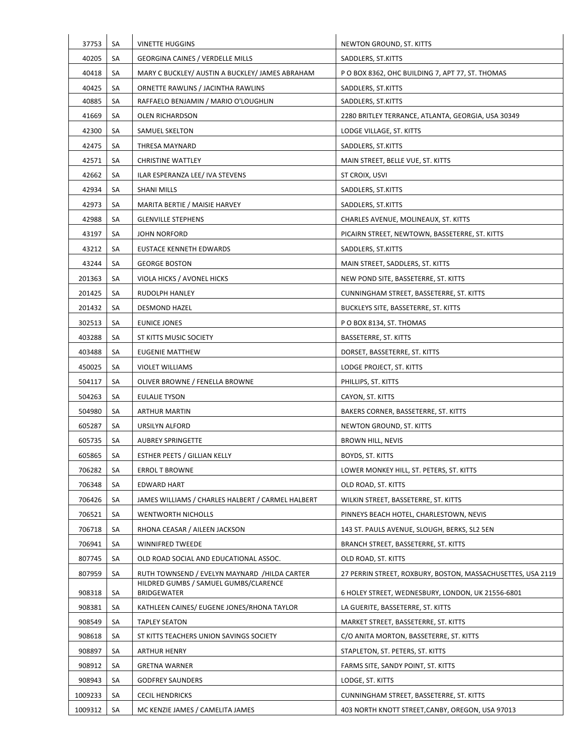| 37753   | SA | <b>VINETTE HUGGINS</b>                            | NEWTON GROUND, ST. KITTS                                    |
|---------|----|---------------------------------------------------|-------------------------------------------------------------|
| 40205   | SA | <b>GEORGINA CAINES / VERDELLE MILLS</b>           | SADDLERS, ST.KITTS                                          |
| 40418   | SA | MARY C BUCKLEY/ AUSTIN A BUCKLEY/ JAMES ABRAHAM   | P O BOX 8362, OHC BUILDING 7, APT 77, ST. THOMAS            |
| 40425   | SA | ORNETTE RAWLINS / JACINTHA RAWLINS                | SADDLERS, ST.KITTS                                          |
| 40885   | SA | RAFFAELO BENJAMIN / MARIO O'LOUGHLIN              | SADDLERS, ST.KITTS                                          |
| 41669   | SA | OLEN RICHARDSON                                   | 2280 BRITLEY TERRANCE, ATLANTA, GEORGIA, USA 30349          |
| 42300   | SA | <b>SAMUEL SKELTON</b>                             | LODGE VILLAGE, ST. KITTS                                    |
| 42475   | SA | THRESA MAYNARD                                    | SADDLERS, ST.KITTS                                          |
| 42571   | SA | <b>CHRISTINE WATTLEY</b>                          | MAIN STREET, BELLE VUE, ST. KITTS                           |
| 42662   | SA | ILAR ESPERANZA LEE/ IVA STEVENS                   | ST CROIX, USVI                                              |
| 42934   | SA | SHANI MILLS                                       | SADDLERS, ST.KITTS                                          |
| 42973   | SA | MARITA BERTIE / MAISIE HARVEY                     | SADDLERS, ST.KITTS                                          |
| 42988   | SA | <b>GLENVILLE STEPHENS</b>                         | CHARLES AVENUE, MOLINEAUX, ST. KITTS                        |
| 43197   | SA | <b>JOHN NORFORD</b>                               | PICAIRN STREET, NEWTOWN, BASSETERRE, ST. KITTS              |
| 43212   | SA | <b>EUSTACE KENNETH EDWARDS</b>                    | SADDLERS, ST.KITTS                                          |
| 43244   | SA | <b>GEORGE BOSTON</b>                              | MAIN STREET, SADDLERS, ST. KITTS                            |
| 201363  | SA | VIOLA HICKS / AVONEL HICKS                        | NEW POND SITE, BASSETERRE, ST. KITTS                        |
| 201425  | SA | RUDOLPH HANLEY                                    | CUNNINGHAM STREET, BASSETERRE, ST. KITTS                    |
| 201432  | SA | <b>DESMOND HAZEL</b>                              | BUCKLEYS SITE, BASSETERRE, ST. KITTS                        |
| 302513  | SA | <b>EUNICE JONES</b>                               | P O BOX 8134, ST. THOMAS                                    |
| 403288  | SA | ST KITTS MUSIC SOCIETY                            | BASSETERRE, ST. KITTS                                       |
| 403488  | SA | <b>EUGENIE MATTHEW</b>                            | DORSET, BASSETERRE, ST. KITTS                               |
| 450025  | SA | <b>VIOLET WILLIAMS</b>                            | LODGE PROJECT, ST. KITTS                                    |
| 504117  | SA | OLIVER BROWNE / FENELLA BROWNE                    | PHILLIPS, ST. KITTS                                         |
| 504263  | SA | <b>EULALIE TYSON</b>                              | CAYON, ST. KITTS                                            |
| 504980  | SA | <b>ARTHUR MARTIN</b>                              | BAKERS CORNER, BASSETERRE, ST. KITTS                        |
| 605287  | SA | URSILYN ALFORD                                    | NEWTON GROUND, ST. KITTS                                    |
| 605735  | SA | <b>AUBREY SPRINGETTE</b>                          | <b>BROWN HILL, NEVIS</b>                                    |
| 605865  | SA | <b>ESTHER PEETS / GILLIAN KELLY</b>               | BOYDS, ST. KITTS                                            |
| 706282  | SA | <b>ERROL T BROWNE</b>                             | LOWER MONKEY HILL, ST. PETERS, ST. KITTS                    |
| 706348  | SA | <b>EDWARD HART</b>                                | OLD ROAD, ST. KITTS                                         |
| 706426  | SA | JAMES WILLIAMS / CHARLES HALBERT / CARMEL HALBERT | WILKIN STREET, BASSETERRE, ST. KITTS                        |
| 706521  | SA | <b>WENTWORTH NICHOLLS</b>                         | PINNEYS BEACH HOTEL, CHARLESTOWN, NEVIS                     |
| 706718  | SA | RHONA CEASAR / AILEEN JACKSON                     | 143 ST. PAULS AVENUE, SLOUGH, BERKS, SL2 5EN                |
| 706941  | SA | WINNIFRED TWEEDE                                  | BRANCH STREET, BASSETERRE, ST. KITTS                        |
| 807745  | SA | OLD ROAD SOCIAL AND EDUCATIONAL ASSOC.            | OLD ROAD, ST. KITTS                                         |
| 807959  | SA | RUTH TOWNSEND / EVELYN MAYNARD /HILDA CARTER      | 27 PERRIN STREET, ROXBURY, BOSTON, MASSACHUSETTES, USA 2119 |
|         |    | HILDRED GUMBS / SAMUEL GUMBS/CLARENCE             |                                                             |
| 908318  | SA | <b>BRIDGEWATER</b>                                | 6 HOLEY STREET, WEDNESBURY, LONDON, UK 21556-6801           |
| 908381  | SA | KATHLEEN CAINES/ EUGENE JONES/RHONA TAYLOR        | LA GUERITE, BASSETERRE, ST. KITTS                           |
| 908549  | SA | <b>TAPLEY SEATON</b>                              | MARKET STREET, BASSETERRE, ST. KITTS                        |
| 908618  | SA | ST KITTS TEACHERS UNION SAVINGS SOCIETY           | C/O ANITA MORTON, BASSETERRE, ST. KITTS                     |
| 908897  | SA | <b>ARTHUR HENRY</b>                               | STAPLETON, ST. PETERS, ST. KITTS                            |
| 908912  | SA | <b>GRETNA WARNER</b>                              | FARMS SITE, SANDY POINT, ST. KITTS                          |
| 908943  | SA | <b>GODFREY SAUNDERS</b>                           | LODGE, ST. KITTS                                            |
| 1009233 | SA | <b>CECIL HENDRICKS</b>                            | CUNNINGHAM STREET, BASSETERRE, ST. KITTS                    |
| 1009312 | SA | MC KENZIE JAMES / CAMELITA JAMES                  | 403 NORTH KNOTT STREET, CANBY, OREGON, USA 97013            |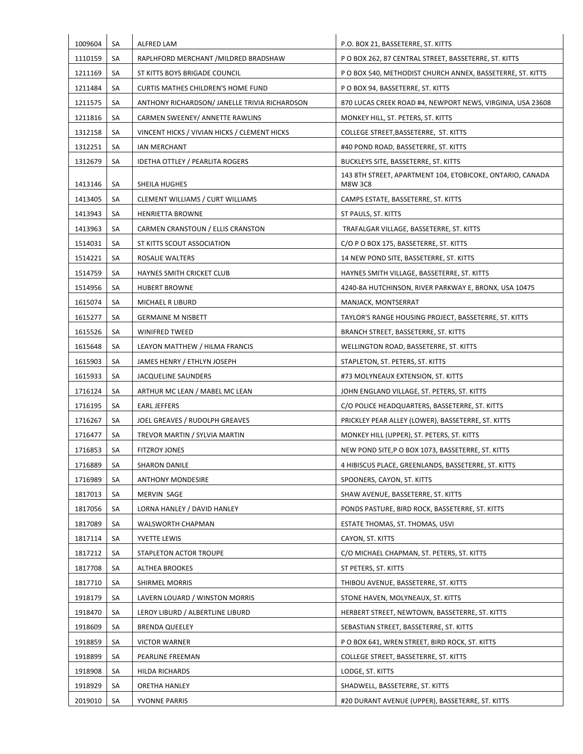| SA<br>RAPLHFORD MERCHANT / MILDRED BRADSHAW<br>P O BOX 262, 87 CENTRAL STREET, BASSETERRE, ST. KITTS<br>SA<br>ST KITTS BOYS BRIGADE COUNCIL<br>P O BOX 540, METHODIST CHURCH ANNEX, BASSETERRE, ST. KITTS<br>SA<br><b>CURTIS MATHES CHILDREN'S HOME FUND</b><br>P O BOX 94, BASSETERRE, ST. KITTS<br>SA<br>ANTHONY RICHARDSON/ JANELLE TRIVIA RICHARDSON<br>870 LUCAS CREEK ROAD #4, NEWPORT NEWS, VIRGINIA, USA 23608<br>SA<br>CARMEN SWEENEY/ ANNETTE RAWLINS<br>MONKEY HILL, ST. PETERS, ST. KITTS<br>SA<br>VINCENT HICKS / VIVIAN HICKS / CLEMENT HICKS<br>COLLEGE STREET, BASSETERRE, ST. KITTS<br>SA<br><b>IAN MERCHANT</b><br>#40 POND ROAD, BASSETERRE, ST. KITTS<br>SA<br><b>IDETHA OTTLEY / PEARLITA ROGERS</b><br>BUCKLEYS SITE, BASSETERRE, ST. KITTS<br>143 8TH STREET, APARTMENT 104, ETOBICOKE, ONTARIO, CANADA<br>SA<br>SHEILA HUGHES<br><b>M8W 3C8</b><br>CAMPS ESTATE, BASSETERRE, ST. KITTS<br>SA<br>CLEMENT WILLIAMS / CURT WILLIAMS<br>SA<br><b>HENRIETTA BROWNE</b><br>ST PAULS, ST. KITTS<br>CARMEN CRANSTOUN / ELLIS CRANSTON<br>SA<br>TRAFALGAR VILLAGE, BASSETERRE, ST. KITTS<br>C/O P O BOX 175, BASSETERRE, ST. KITTS<br>SA<br>ST KITTS SCOUT ASSOCIATION<br>SA<br>ROSALIE WALTERS<br>14 NEW POND SITE, BASSETERRE, ST. KITTS<br>SA<br><b>HAYNES SMITH CRICKET CLUB</b><br>HAYNES SMITH VILLAGE, BASSETERRE, ST. KITTS<br><b>HUBERT BROWNE</b><br>4240-8A HUTCHINSON, RIVER PARKWAY E, BRONX, USA 10475<br>SA<br>SA<br>MICHAEL R LIBURD<br>MANJACK, MONTSERRAT<br>SA<br><b>GERMAINE M NISBETT</b><br>TAYLOR'S RANGE HOUSING PROJECT, BASSETERRE, ST. KITTS<br>SA<br>WINIFRED TWEED<br>BRANCH STREET, BASSETERRE, ST. KITTS<br>SA<br>LEAYON MATTHEW / HILMA FRANCIS<br>WELLINGTON ROAD, BASSETERRE, ST. KITTS<br>SA<br>STAPLETON, ST. PETERS, ST. KITTS<br>JAMES HENRY / ETHLYN JOSEPH<br>SA<br>JACQUELINE SAUNDERS<br>#73 MOLYNEAUX EXTENSION, ST. KITTS<br>SA<br>ARTHUR MC LEAN / MABEL MC LEAN<br>JOHN ENGLAND VILLAGE, ST. PETERS, ST. KITTS<br>SA<br><b>EARL JEFFERS</b><br>C/O POLICE HEADQUARTERS, BASSETERRE, ST. KITTS<br>SA<br>JOEL GREAVES / RUDOLPH GREAVES<br>PRICKLEY PEAR ALLEY (LOWER), BASSETERRE, ST. KITTS<br>SA<br>TREVOR MARTIN / SYLVIA MARTIN<br>MONKEY HILL (UPPER), ST. PETERS, ST. KITTS<br>SA<br><b>FITZROY JONES</b><br>NEW POND SITE, P O BOX 1073, BASSETERRE, ST. KITTS<br>SA<br><b>SHARON DANILE</b><br>4 HIBISCUS PLACE, GREENLANDS, BASSETERRE, ST. KITTS<br>SA<br><b>ANTHONY MONDESIRE</b><br>SPOONERS, CAYON, ST. KITTS<br>SA<br>MERVIN SAGE<br>SHAW AVENUE, BASSETERRE, ST. KITTS<br>LORNA HANLEY / DAVID HANLEY<br>PONDS PASTURE, BIRD ROCK, BASSETERRE, ST. KITTS<br>SA<br>SA<br>WALSWORTH CHAPMAN<br>ESTATE THOMAS, ST. THOMAS, USVI<br>SA<br>YVETTE LEWIS<br>CAYON, ST. KITTS<br>SA<br>STAPLETON ACTOR TROUPE<br>C/O MICHAEL CHAPMAN, ST. PETERS, ST. KITTS<br>SA<br><b>ALTHEA BROOKES</b><br>ST PETERS, ST. KITTS<br>SA<br>SHIRMEL MORRIS<br>THIBOU AVENUE, BASSETERRE, ST. KITTS<br>LAVERN LOUARD / WINSTON MORRIS<br>STONE HAVEN, MOLYNEAUX, ST. KITTS<br>SA<br>SA<br>LEROY LIBURD / ALBERTLINE LIBURD<br>HERBERT STREET, NEWTOWN, BASSETERRE, ST. KITTS<br>SA<br><b>BRENDA QUEELEY</b><br>SEBASTIAN STREET, BASSETERRE, ST. KITTS<br>SA<br><b>VICTOR WARNER</b><br>P O BOX 641, WREN STREET, BIRD ROCK, ST. KITTS<br>SA<br>PEARLINE FREEMAN<br>COLLEGE STREET, BASSETERRE, ST. KITTS<br>SA<br>HILDA RICHARDS<br>LODGE, ST. KITTS<br>SA<br>ORETHA HANLEY<br>SHADWELL, BASSETERRE, ST. KITTS<br>SA<br>YVONNE PARRIS<br>#20 DURANT AVENUE (UPPER), BASSETERRE, ST. KITTS | 1009604 | SA | ALFRED LAM | P.O. BOX 21, BASSETERRE, ST. KITTS |
|-----------------------------------------------------------------------------------------------------------------------------------------------------------------------------------------------------------------------------------------------------------------------------------------------------------------------------------------------------------------------------------------------------------------------------------------------------------------------------------------------------------------------------------------------------------------------------------------------------------------------------------------------------------------------------------------------------------------------------------------------------------------------------------------------------------------------------------------------------------------------------------------------------------------------------------------------------------------------------------------------------------------------------------------------------------------------------------------------------------------------------------------------------------------------------------------------------------------------------------------------------------------------------------------------------------------------------------------------------------------------------------------------------------------------------------------------------------------------------------------------------------------------------------------------------------------------------------------------------------------------------------------------------------------------------------------------------------------------------------------------------------------------------------------------------------------------------------------------------------------------------------------------------------------------------------------------------------------------------------------------------------------------------------------------------------------------------------------------------------------------------------------------------------------------------------------------------------------------------------------------------------------------------------------------------------------------------------------------------------------------------------------------------------------------------------------------------------------------------------------------------------------------------------------------------------------------------------------------------------------------------------------------------------------------------------------------------------------------------------------------------------------------------------------------------------------------------------------------------------------------------------------------------------------------------------------------------------------------------------------------------------------------------------------------------------------------------------------------------------------------------------------------------------------------------------------------------------------------------------------------------------------------------------------------------------------------------------------------------------------------------------------------------------------------------------------------------------------------------------------------------------------------------------------------|---------|----|------------|------------------------------------|
|                                                                                                                                                                                                                                                                                                                                                                                                                                                                                                                                                                                                                                                                                                                                                                                                                                                                                                                                                                                                                                                                                                                                                                                                                                                                                                                                                                                                                                                                                                                                                                                                                                                                                                                                                                                                                                                                                                                                                                                                                                                                                                                                                                                                                                                                                                                                                                                                                                                                                                                                                                                                                                                                                                                                                                                                                                                                                                                                                                                                                                                                                                                                                                                                                                                                                                                                                                                                                                                                                                                                               | 1110159 |    |            |                                    |
|                                                                                                                                                                                                                                                                                                                                                                                                                                                                                                                                                                                                                                                                                                                                                                                                                                                                                                                                                                                                                                                                                                                                                                                                                                                                                                                                                                                                                                                                                                                                                                                                                                                                                                                                                                                                                                                                                                                                                                                                                                                                                                                                                                                                                                                                                                                                                                                                                                                                                                                                                                                                                                                                                                                                                                                                                                                                                                                                                                                                                                                                                                                                                                                                                                                                                                                                                                                                                                                                                                                                               | 1211169 |    |            |                                    |
|                                                                                                                                                                                                                                                                                                                                                                                                                                                                                                                                                                                                                                                                                                                                                                                                                                                                                                                                                                                                                                                                                                                                                                                                                                                                                                                                                                                                                                                                                                                                                                                                                                                                                                                                                                                                                                                                                                                                                                                                                                                                                                                                                                                                                                                                                                                                                                                                                                                                                                                                                                                                                                                                                                                                                                                                                                                                                                                                                                                                                                                                                                                                                                                                                                                                                                                                                                                                                                                                                                                                               | 1211484 |    |            |                                    |
|                                                                                                                                                                                                                                                                                                                                                                                                                                                                                                                                                                                                                                                                                                                                                                                                                                                                                                                                                                                                                                                                                                                                                                                                                                                                                                                                                                                                                                                                                                                                                                                                                                                                                                                                                                                                                                                                                                                                                                                                                                                                                                                                                                                                                                                                                                                                                                                                                                                                                                                                                                                                                                                                                                                                                                                                                                                                                                                                                                                                                                                                                                                                                                                                                                                                                                                                                                                                                                                                                                                                               | 1211575 |    |            |                                    |
|                                                                                                                                                                                                                                                                                                                                                                                                                                                                                                                                                                                                                                                                                                                                                                                                                                                                                                                                                                                                                                                                                                                                                                                                                                                                                                                                                                                                                                                                                                                                                                                                                                                                                                                                                                                                                                                                                                                                                                                                                                                                                                                                                                                                                                                                                                                                                                                                                                                                                                                                                                                                                                                                                                                                                                                                                                                                                                                                                                                                                                                                                                                                                                                                                                                                                                                                                                                                                                                                                                                                               | 1211816 |    |            |                                    |
|                                                                                                                                                                                                                                                                                                                                                                                                                                                                                                                                                                                                                                                                                                                                                                                                                                                                                                                                                                                                                                                                                                                                                                                                                                                                                                                                                                                                                                                                                                                                                                                                                                                                                                                                                                                                                                                                                                                                                                                                                                                                                                                                                                                                                                                                                                                                                                                                                                                                                                                                                                                                                                                                                                                                                                                                                                                                                                                                                                                                                                                                                                                                                                                                                                                                                                                                                                                                                                                                                                                                               | 1312158 |    |            |                                    |
|                                                                                                                                                                                                                                                                                                                                                                                                                                                                                                                                                                                                                                                                                                                                                                                                                                                                                                                                                                                                                                                                                                                                                                                                                                                                                                                                                                                                                                                                                                                                                                                                                                                                                                                                                                                                                                                                                                                                                                                                                                                                                                                                                                                                                                                                                                                                                                                                                                                                                                                                                                                                                                                                                                                                                                                                                                                                                                                                                                                                                                                                                                                                                                                                                                                                                                                                                                                                                                                                                                                                               | 1312251 |    |            |                                    |
|                                                                                                                                                                                                                                                                                                                                                                                                                                                                                                                                                                                                                                                                                                                                                                                                                                                                                                                                                                                                                                                                                                                                                                                                                                                                                                                                                                                                                                                                                                                                                                                                                                                                                                                                                                                                                                                                                                                                                                                                                                                                                                                                                                                                                                                                                                                                                                                                                                                                                                                                                                                                                                                                                                                                                                                                                                                                                                                                                                                                                                                                                                                                                                                                                                                                                                                                                                                                                                                                                                                                               | 1312679 |    |            |                                    |
|                                                                                                                                                                                                                                                                                                                                                                                                                                                                                                                                                                                                                                                                                                                                                                                                                                                                                                                                                                                                                                                                                                                                                                                                                                                                                                                                                                                                                                                                                                                                                                                                                                                                                                                                                                                                                                                                                                                                                                                                                                                                                                                                                                                                                                                                                                                                                                                                                                                                                                                                                                                                                                                                                                                                                                                                                                                                                                                                                                                                                                                                                                                                                                                                                                                                                                                                                                                                                                                                                                                                               | 1413146 |    |            |                                    |
|                                                                                                                                                                                                                                                                                                                                                                                                                                                                                                                                                                                                                                                                                                                                                                                                                                                                                                                                                                                                                                                                                                                                                                                                                                                                                                                                                                                                                                                                                                                                                                                                                                                                                                                                                                                                                                                                                                                                                                                                                                                                                                                                                                                                                                                                                                                                                                                                                                                                                                                                                                                                                                                                                                                                                                                                                                                                                                                                                                                                                                                                                                                                                                                                                                                                                                                                                                                                                                                                                                                                               | 1413405 |    |            |                                    |
|                                                                                                                                                                                                                                                                                                                                                                                                                                                                                                                                                                                                                                                                                                                                                                                                                                                                                                                                                                                                                                                                                                                                                                                                                                                                                                                                                                                                                                                                                                                                                                                                                                                                                                                                                                                                                                                                                                                                                                                                                                                                                                                                                                                                                                                                                                                                                                                                                                                                                                                                                                                                                                                                                                                                                                                                                                                                                                                                                                                                                                                                                                                                                                                                                                                                                                                                                                                                                                                                                                                                               | 1413943 |    |            |                                    |
|                                                                                                                                                                                                                                                                                                                                                                                                                                                                                                                                                                                                                                                                                                                                                                                                                                                                                                                                                                                                                                                                                                                                                                                                                                                                                                                                                                                                                                                                                                                                                                                                                                                                                                                                                                                                                                                                                                                                                                                                                                                                                                                                                                                                                                                                                                                                                                                                                                                                                                                                                                                                                                                                                                                                                                                                                                                                                                                                                                                                                                                                                                                                                                                                                                                                                                                                                                                                                                                                                                                                               | 1413963 |    |            |                                    |
|                                                                                                                                                                                                                                                                                                                                                                                                                                                                                                                                                                                                                                                                                                                                                                                                                                                                                                                                                                                                                                                                                                                                                                                                                                                                                                                                                                                                                                                                                                                                                                                                                                                                                                                                                                                                                                                                                                                                                                                                                                                                                                                                                                                                                                                                                                                                                                                                                                                                                                                                                                                                                                                                                                                                                                                                                                                                                                                                                                                                                                                                                                                                                                                                                                                                                                                                                                                                                                                                                                                                               | 1514031 |    |            |                                    |
|                                                                                                                                                                                                                                                                                                                                                                                                                                                                                                                                                                                                                                                                                                                                                                                                                                                                                                                                                                                                                                                                                                                                                                                                                                                                                                                                                                                                                                                                                                                                                                                                                                                                                                                                                                                                                                                                                                                                                                                                                                                                                                                                                                                                                                                                                                                                                                                                                                                                                                                                                                                                                                                                                                                                                                                                                                                                                                                                                                                                                                                                                                                                                                                                                                                                                                                                                                                                                                                                                                                                               | 1514221 |    |            |                                    |
|                                                                                                                                                                                                                                                                                                                                                                                                                                                                                                                                                                                                                                                                                                                                                                                                                                                                                                                                                                                                                                                                                                                                                                                                                                                                                                                                                                                                                                                                                                                                                                                                                                                                                                                                                                                                                                                                                                                                                                                                                                                                                                                                                                                                                                                                                                                                                                                                                                                                                                                                                                                                                                                                                                                                                                                                                                                                                                                                                                                                                                                                                                                                                                                                                                                                                                                                                                                                                                                                                                                                               | 1514759 |    |            |                                    |
|                                                                                                                                                                                                                                                                                                                                                                                                                                                                                                                                                                                                                                                                                                                                                                                                                                                                                                                                                                                                                                                                                                                                                                                                                                                                                                                                                                                                                                                                                                                                                                                                                                                                                                                                                                                                                                                                                                                                                                                                                                                                                                                                                                                                                                                                                                                                                                                                                                                                                                                                                                                                                                                                                                                                                                                                                                                                                                                                                                                                                                                                                                                                                                                                                                                                                                                                                                                                                                                                                                                                               | 1514956 |    |            |                                    |
|                                                                                                                                                                                                                                                                                                                                                                                                                                                                                                                                                                                                                                                                                                                                                                                                                                                                                                                                                                                                                                                                                                                                                                                                                                                                                                                                                                                                                                                                                                                                                                                                                                                                                                                                                                                                                                                                                                                                                                                                                                                                                                                                                                                                                                                                                                                                                                                                                                                                                                                                                                                                                                                                                                                                                                                                                                                                                                                                                                                                                                                                                                                                                                                                                                                                                                                                                                                                                                                                                                                                               | 1615074 |    |            |                                    |
|                                                                                                                                                                                                                                                                                                                                                                                                                                                                                                                                                                                                                                                                                                                                                                                                                                                                                                                                                                                                                                                                                                                                                                                                                                                                                                                                                                                                                                                                                                                                                                                                                                                                                                                                                                                                                                                                                                                                                                                                                                                                                                                                                                                                                                                                                                                                                                                                                                                                                                                                                                                                                                                                                                                                                                                                                                                                                                                                                                                                                                                                                                                                                                                                                                                                                                                                                                                                                                                                                                                                               | 1615277 |    |            |                                    |
|                                                                                                                                                                                                                                                                                                                                                                                                                                                                                                                                                                                                                                                                                                                                                                                                                                                                                                                                                                                                                                                                                                                                                                                                                                                                                                                                                                                                                                                                                                                                                                                                                                                                                                                                                                                                                                                                                                                                                                                                                                                                                                                                                                                                                                                                                                                                                                                                                                                                                                                                                                                                                                                                                                                                                                                                                                                                                                                                                                                                                                                                                                                                                                                                                                                                                                                                                                                                                                                                                                                                               | 1615526 |    |            |                                    |
|                                                                                                                                                                                                                                                                                                                                                                                                                                                                                                                                                                                                                                                                                                                                                                                                                                                                                                                                                                                                                                                                                                                                                                                                                                                                                                                                                                                                                                                                                                                                                                                                                                                                                                                                                                                                                                                                                                                                                                                                                                                                                                                                                                                                                                                                                                                                                                                                                                                                                                                                                                                                                                                                                                                                                                                                                                                                                                                                                                                                                                                                                                                                                                                                                                                                                                                                                                                                                                                                                                                                               | 1615648 |    |            |                                    |
|                                                                                                                                                                                                                                                                                                                                                                                                                                                                                                                                                                                                                                                                                                                                                                                                                                                                                                                                                                                                                                                                                                                                                                                                                                                                                                                                                                                                                                                                                                                                                                                                                                                                                                                                                                                                                                                                                                                                                                                                                                                                                                                                                                                                                                                                                                                                                                                                                                                                                                                                                                                                                                                                                                                                                                                                                                                                                                                                                                                                                                                                                                                                                                                                                                                                                                                                                                                                                                                                                                                                               | 1615903 |    |            |                                    |
|                                                                                                                                                                                                                                                                                                                                                                                                                                                                                                                                                                                                                                                                                                                                                                                                                                                                                                                                                                                                                                                                                                                                                                                                                                                                                                                                                                                                                                                                                                                                                                                                                                                                                                                                                                                                                                                                                                                                                                                                                                                                                                                                                                                                                                                                                                                                                                                                                                                                                                                                                                                                                                                                                                                                                                                                                                                                                                                                                                                                                                                                                                                                                                                                                                                                                                                                                                                                                                                                                                                                               | 1615933 |    |            |                                    |
|                                                                                                                                                                                                                                                                                                                                                                                                                                                                                                                                                                                                                                                                                                                                                                                                                                                                                                                                                                                                                                                                                                                                                                                                                                                                                                                                                                                                                                                                                                                                                                                                                                                                                                                                                                                                                                                                                                                                                                                                                                                                                                                                                                                                                                                                                                                                                                                                                                                                                                                                                                                                                                                                                                                                                                                                                                                                                                                                                                                                                                                                                                                                                                                                                                                                                                                                                                                                                                                                                                                                               | 1716124 |    |            |                                    |
|                                                                                                                                                                                                                                                                                                                                                                                                                                                                                                                                                                                                                                                                                                                                                                                                                                                                                                                                                                                                                                                                                                                                                                                                                                                                                                                                                                                                                                                                                                                                                                                                                                                                                                                                                                                                                                                                                                                                                                                                                                                                                                                                                                                                                                                                                                                                                                                                                                                                                                                                                                                                                                                                                                                                                                                                                                                                                                                                                                                                                                                                                                                                                                                                                                                                                                                                                                                                                                                                                                                                               | 1716195 |    |            |                                    |
|                                                                                                                                                                                                                                                                                                                                                                                                                                                                                                                                                                                                                                                                                                                                                                                                                                                                                                                                                                                                                                                                                                                                                                                                                                                                                                                                                                                                                                                                                                                                                                                                                                                                                                                                                                                                                                                                                                                                                                                                                                                                                                                                                                                                                                                                                                                                                                                                                                                                                                                                                                                                                                                                                                                                                                                                                                                                                                                                                                                                                                                                                                                                                                                                                                                                                                                                                                                                                                                                                                                                               | 1716267 |    |            |                                    |
|                                                                                                                                                                                                                                                                                                                                                                                                                                                                                                                                                                                                                                                                                                                                                                                                                                                                                                                                                                                                                                                                                                                                                                                                                                                                                                                                                                                                                                                                                                                                                                                                                                                                                                                                                                                                                                                                                                                                                                                                                                                                                                                                                                                                                                                                                                                                                                                                                                                                                                                                                                                                                                                                                                                                                                                                                                                                                                                                                                                                                                                                                                                                                                                                                                                                                                                                                                                                                                                                                                                                               | 1716477 |    |            |                                    |
|                                                                                                                                                                                                                                                                                                                                                                                                                                                                                                                                                                                                                                                                                                                                                                                                                                                                                                                                                                                                                                                                                                                                                                                                                                                                                                                                                                                                                                                                                                                                                                                                                                                                                                                                                                                                                                                                                                                                                                                                                                                                                                                                                                                                                                                                                                                                                                                                                                                                                                                                                                                                                                                                                                                                                                                                                                                                                                                                                                                                                                                                                                                                                                                                                                                                                                                                                                                                                                                                                                                                               | 1716853 |    |            |                                    |
|                                                                                                                                                                                                                                                                                                                                                                                                                                                                                                                                                                                                                                                                                                                                                                                                                                                                                                                                                                                                                                                                                                                                                                                                                                                                                                                                                                                                                                                                                                                                                                                                                                                                                                                                                                                                                                                                                                                                                                                                                                                                                                                                                                                                                                                                                                                                                                                                                                                                                                                                                                                                                                                                                                                                                                                                                                                                                                                                                                                                                                                                                                                                                                                                                                                                                                                                                                                                                                                                                                                                               | 1716889 |    |            |                                    |
|                                                                                                                                                                                                                                                                                                                                                                                                                                                                                                                                                                                                                                                                                                                                                                                                                                                                                                                                                                                                                                                                                                                                                                                                                                                                                                                                                                                                                                                                                                                                                                                                                                                                                                                                                                                                                                                                                                                                                                                                                                                                                                                                                                                                                                                                                                                                                                                                                                                                                                                                                                                                                                                                                                                                                                                                                                                                                                                                                                                                                                                                                                                                                                                                                                                                                                                                                                                                                                                                                                                                               | 1716989 |    |            |                                    |
|                                                                                                                                                                                                                                                                                                                                                                                                                                                                                                                                                                                                                                                                                                                                                                                                                                                                                                                                                                                                                                                                                                                                                                                                                                                                                                                                                                                                                                                                                                                                                                                                                                                                                                                                                                                                                                                                                                                                                                                                                                                                                                                                                                                                                                                                                                                                                                                                                                                                                                                                                                                                                                                                                                                                                                                                                                                                                                                                                                                                                                                                                                                                                                                                                                                                                                                                                                                                                                                                                                                                               | 1817013 |    |            |                                    |
|                                                                                                                                                                                                                                                                                                                                                                                                                                                                                                                                                                                                                                                                                                                                                                                                                                                                                                                                                                                                                                                                                                                                                                                                                                                                                                                                                                                                                                                                                                                                                                                                                                                                                                                                                                                                                                                                                                                                                                                                                                                                                                                                                                                                                                                                                                                                                                                                                                                                                                                                                                                                                                                                                                                                                                                                                                                                                                                                                                                                                                                                                                                                                                                                                                                                                                                                                                                                                                                                                                                                               | 1817056 |    |            |                                    |
|                                                                                                                                                                                                                                                                                                                                                                                                                                                                                                                                                                                                                                                                                                                                                                                                                                                                                                                                                                                                                                                                                                                                                                                                                                                                                                                                                                                                                                                                                                                                                                                                                                                                                                                                                                                                                                                                                                                                                                                                                                                                                                                                                                                                                                                                                                                                                                                                                                                                                                                                                                                                                                                                                                                                                                                                                                                                                                                                                                                                                                                                                                                                                                                                                                                                                                                                                                                                                                                                                                                                               | 1817089 |    |            |                                    |
|                                                                                                                                                                                                                                                                                                                                                                                                                                                                                                                                                                                                                                                                                                                                                                                                                                                                                                                                                                                                                                                                                                                                                                                                                                                                                                                                                                                                                                                                                                                                                                                                                                                                                                                                                                                                                                                                                                                                                                                                                                                                                                                                                                                                                                                                                                                                                                                                                                                                                                                                                                                                                                                                                                                                                                                                                                                                                                                                                                                                                                                                                                                                                                                                                                                                                                                                                                                                                                                                                                                                               | 1817114 |    |            |                                    |
|                                                                                                                                                                                                                                                                                                                                                                                                                                                                                                                                                                                                                                                                                                                                                                                                                                                                                                                                                                                                                                                                                                                                                                                                                                                                                                                                                                                                                                                                                                                                                                                                                                                                                                                                                                                                                                                                                                                                                                                                                                                                                                                                                                                                                                                                                                                                                                                                                                                                                                                                                                                                                                                                                                                                                                                                                                                                                                                                                                                                                                                                                                                                                                                                                                                                                                                                                                                                                                                                                                                                               | 1817212 |    |            |                                    |
|                                                                                                                                                                                                                                                                                                                                                                                                                                                                                                                                                                                                                                                                                                                                                                                                                                                                                                                                                                                                                                                                                                                                                                                                                                                                                                                                                                                                                                                                                                                                                                                                                                                                                                                                                                                                                                                                                                                                                                                                                                                                                                                                                                                                                                                                                                                                                                                                                                                                                                                                                                                                                                                                                                                                                                                                                                                                                                                                                                                                                                                                                                                                                                                                                                                                                                                                                                                                                                                                                                                                               | 1817708 |    |            |                                    |
|                                                                                                                                                                                                                                                                                                                                                                                                                                                                                                                                                                                                                                                                                                                                                                                                                                                                                                                                                                                                                                                                                                                                                                                                                                                                                                                                                                                                                                                                                                                                                                                                                                                                                                                                                                                                                                                                                                                                                                                                                                                                                                                                                                                                                                                                                                                                                                                                                                                                                                                                                                                                                                                                                                                                                                                                                                                                                                                                                                                                                                                                                                                                                                                                                                                                                                                                                                                                                                                                                                                                               | 1817710 |    |            |                                    |
|                                                                                                                                                                                                                                                                                                                                                                                                                                                                                                                                                                                                                                                                                                                                                                                                                                                                                                                                                                                                                                                                                                                                                                                                                                                                                                                                                                                                                                                                                                                                                                                                                                                                                                                                                                                                                                                                                                                                                                                                                                                                                                                                                                                                                                                                                                                                                                                                                                                                                                                                                                                                                                                                                                                                                                                                                                                                                                                                                                                                                                                                                                                                                                                                                                                                                                                                                                                                                                                                                                                                               | 1918179 |    |            |                                    |
|                                                                                                                                                                                                                                                                                                                                                                                                                                                                                                                                                                                                                                                                                                                                                                                                                                                                                                                                                                                                                                                                                                                                                                                                                                                                                                                                                                                                                                                                                                                                                                                                                                                                                                                                                                                                                                                                                                                                                                                                                                                                                                                                                                                                                                                                                                                                                                                                                                                                                                                                                                                                                                                                                                                                                                                                                                                                                                                                                                                                                                                                                                                                                                                                                                                                                                                                                                                                                                                                                                                                               | 1918470 |    |            |                                    |
|                                                                                                                                                                                                                                                                                                                                                                                                                                                                                                                                                                                                                                                                                                                                                                                                                                                                                                                                                                                                                                                                                                                                                                                                                                                                                                                                                                                                                                                                                                                                                                                                                                                                                                                                                                                                                                                                                                                                                                                                                                                                                                                                                                                                                                                                                                                                                                                                                                                                                                                                                                                                                                                                                                                                                                                                                                                                                                                                                                                                                                                                                                                                                                                                                                                                                                                                                                                                                                                                                                                                               | 1918609 |    |            |                                    |
|                                                                                                                                                                                                                                                                                                                                                                                                                                                                                                                                                                                                                                                                                                                                                                                                                                                                                                                                                                                                                                                                                                                                                                                                                                                                                                                                                                                                                                                                                                                                                                                                                                                                                                                                                                                                                                                                                                                                                                                                                                                                                                                                                                                                                                                                                                                                                                                                                                                                                                                                                                                                                                                                                                                                                                                                                                                                                                                                                                                                                                                                                                                                                                                                                                                                                                                                                                                                                                                                                                                                               | 1918859 |    |            |                                    |
|                                                                                                                                                                                                                                                                                                                                                                                                                                                                                                                                                                                                                                                                                                                                                                                                                                                                                                                                                                                                                                                                                                                                                                                                                                                                                                                                                                                                                                                                                                                                                                                                                                                                                                                                                                                                                                                                                                                                                                                                                                                                                                                                                                                                                                                                                                                                                                                                                                                                                                                                                                                                                                                                                                                                                                                                                                                                                                                                                                                                                                                                                                                                                                                                                                                                                                                                                                                                                                                                                                                                               | 1918899 |    |            |                                    |
|                                                                                                                                                                                                                                                                                                                                                                                                                                                                                                                                                                                                                                                                                                                                                                                                                                                                                                                                                                                                                                                                                                                                                                                                                                                                                                                                                                                                                                                                                                                                                                                                                                                                                                                                                                                                                                                                                                                                                                                                                                                                                                                                                                                                                                                                                                                                                                                                                                                                                                                                                                                                                                                                                                                                                                                                                                                                                                                                                                                                                                                                                                                                                                                                                                                                                                                                                                                                                                                                                                                                               | 1918908 |    |            |                                    |
|                                                                                                                                                                                                                                                                                                                                                                                                                                                                                                                                                                                                                                                                                                                                                                                                                                                                                                                                                                                                                                                                                                                                                                                                                                                                                                                                                                                                                                                                                                                                                                                                                                                                                                                                                                                                                                                                                                                                                                                                                                                                                                                                                                                                                                                                                                                                                                                                                                                                                                                                                                                                                                                                                                                                                                                                                                                                                                                                                                                                                                                                                                                                                                                                                                                                                                                                                                                                                                                                                                                                               | 1918929 |    |            |                                    |
|                                                                                                                                                                                                                                                                                                                                                                                                                                                                                                                                                                                                                                                                                                                                                                                                                                                                                                                                                                                                                                                                                                                                                                                                                                                                                                                                                                                                                                                                                                                                                                                                                                                                                                                                                                                                                                                                                                                                                                                                                                                                                                                                                                                                                                                                                                                                                                                                                                                                                                                                                                                                                                                                                                                                                                                                                                                                                                                                                                                                                                                                                                                                                                                                                                                                                                                                                                                                                                                                                                                                               | 2019010 |    |            |                                    |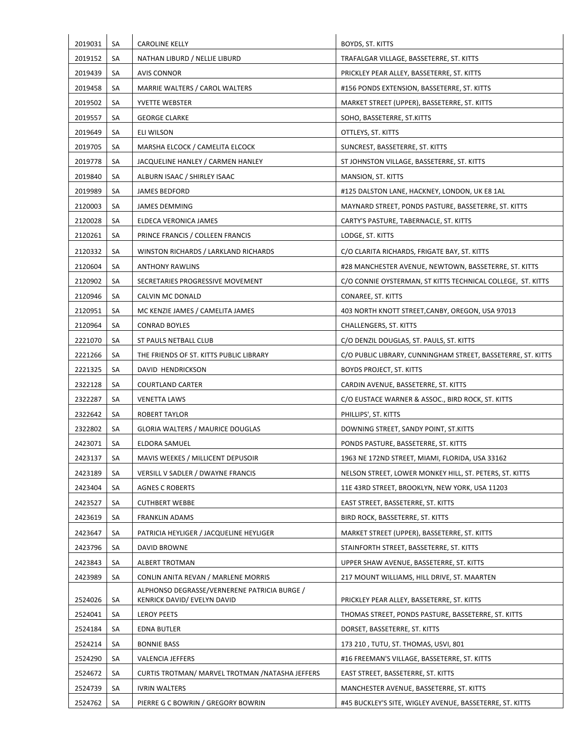| 2019031 | SA | <b>CAROLINE KELLY</b>                            | BOYDS, ST. KITTS                                             |
|---------|----|--------------------------------------------------|--------------------------------------------------------------|
| 2019152 | SA | NATHAN LIBURD / NELLIE LIBURD                    | TRAFALGAR VILLAGE, BASSETERRE, ST. KITTS                     |
| 2019439 | SA | <b>AVIS CONNOR</b>                               | PRICKLEY PEAR ALLEY, BASSETERRE, ST. KITTS                   |
| 2019458 | SA | MARRIE WALTERS / CAROL WALTERS                   | #156 PONDS EXTENSION, BASSETERRE, ST. KITTS                  |
| 2019502 | SA | YVETTE WEBSTER                                   | MARKET STREET (UPPER), BASSETERRE, ST. KITTS                 |
| 2019557 | SA | <b>GEORGE CLARKE</b>                             | SOHO, BASSETERRE, ST.KITTS                                   |
| 2019649 | SA | <b>ELI WILSON</b>                                | OTTLEYS, ST. KITTS                                           |
| 2019705 | SA | MARSHA ELCOCK / CAMELITA ELCOCK                  | SUNCREST, BASSETERRE, ST. KITTS                              |
| 2019778 | SA | JACQUELINE HANLEY / CARMEN HANLEY                | ST JOHNSTON VILLAGE, BASSETERRE, ST. KITTS                   |
| 2019840 | SA | ALBURN ISAAC / SHIRLEY ISAAC                     | MANSION, ST. KITTS                                           |
| 2019989 | SA | <b>JAMES BEDFORD</b>                             | #125 DALSTON LANE, HACKNEY, LONDON, UK E8 1AL                |
| 2120003 | SA | <b>JAMES DEMMING</b>                             | MAYNARD STREET, PONDS PASTURE, BASSETERRE, ST. KITTS         |
| 2120028 | SA | ELDECA VERONICA JAMES                            | CARTY'S PASTURE, TABERNACLE, ST. KITTS                       |
| 2120261 | SA | PRINCE FRANCIS / COLLEEN FRANCIS                 | LODGE, ST. KITTS                                             |
| 2120332 | SA | WINSTON RICHARDS / LARKLAND RICHARDS             | C/O CLARITA RICHARDS, FRIGATE BAY, ST. KITTS                 |
| 2120604 | SA | <b>ANTHONY RAWLINS</b>                           | #28 MANCHESTER AVENUE, NEWTOWN, BASSETERRE, ST. KITTS        |
| 2120902 | SA | SECRETARIES PROGRESSIVE MOVEMENT                 | C/O CONNIE OYSTERMAN, ST KITTS TECHNICAL COLLEGE, ST. KITTS  |
| 2120946 | SA | CALVIN MC DONALD                                 | CONAREE, ST. KITTS                                           |
| 2120951 | SA | MC KENZIE JAMES / CAMELITA JAMES                 | 403 NORTH KNOTT STREET, CANBY, OREGON, USA 97013             |
| 2120964 | SA | <b>CONRAD BOYLES</b>                             | CHALLENGERS, ST. KITTS                                       |
| 2221070 | SA | ST PAULS NETBALL CLUB                            | C/O DENZIL DOUGLAS, ST. PAULS, ST. KITTS                     |
| 2221266 | SA | THE FRIENDS OF ST. KITTS PUBLIC LIBRARY          | C/O PUBLIC LIBRARY, CUNNINGHAM STREET, BASSETERRE, ST. KITTS |
| 2221325 | SA | DAVID HENDRICKSON                                | <b>BOYDS PROJECT, ST. KITTS</b>                              |
| 2322128 | SA | <b>COURTLAND CARTER</b>                          | CARDIN AVENUE, BASSETERRE, ST. KITTS                         |
| 2322287 | SA | <b>VENETTA LAWS</b>                              | C/O EUSTACE WARNER & ASSOC., BIRD ROCK, ST. KITTS            |
| 2322642 | SA | <b>ROBERT TAYLOR</b>                             | PHILLIPS', ST. KITTS                                         |
| 2322802 | SA | <b>GLORIA WALTERS / MAURICE DOUGLAS</b>          | DOWNING STREET, SANDY POINT, ST.KITTS                        |
| 2423071 | SA | ELDORA SAMUEL                                    | PONDS PASTURE, BASSETERRE, ST. KITTS                         |
| 2423137 | SA | MAVIS WEEKES / MILLICENT DEPUSOIR                | 1963 NE 172ND STREET, MIAMI, FLORIDA, USA 33162              |
| 2423189 | SA | <b>VERSILL V SADLER / DWAYNE FRANCIS</b>         | NELSON STREET, LOWER MONKEY HILL, ST. PETERS, ST. KITTS      |
| 2423404 | SA | <b>AGNES C ROBERTS</b>                           | 11E 43RD STREET, BROOKLYN, NEW YORK, USA 11203               |
| 2423527 | SA | <b>CUTHBERT WEBBE</b>                            | EAST STREET, BASSETERRE, ST. KITTS                           |
| 2423619 | SA | <b>FRANKLIN ADAMS</b>                            | BIRD ROCK, BASSETERRE, ST. KITTS                             |
| 2423647 | SA | PATRICIA HEYLIGER / JACQUELINE HEYLIGER          | MARKET STREET (UPPER), BASSETERRE, ST. KITTS                 |
| 2423796 | SA | DAVID BROWNE                                     | STAINFORTH STREET, BASSETERRE, ST. KITTS                     |
| 2423843 | SA | ALBERT TROTMAN                                   | UPPER SHAW AVENUE, BASSETERRE, ST. KITTS                     |
| 2423989 | SA | CONLIN ANITA REVAN / MARLENE MORRIS              | 217 MOUNT WILLIAMS, HILL DRIVE, ST. MAARTEN                  |
|         |    | ALPHONSO DEGRASSE/VERNERENE PATRICIA BURGE /     |                                                              |
| 2524026 | SA | KENRICK DAVID/ EVELYN DAVID                      | PRICKLEY PEAR ALLEY, BASSETERRE, ST. KITTS                   |
| 2524041 | SA | <b>LEROY PEETS</b>                               | THOMAS STREET, PONDS PASTURE, BASSETERRE, ST. KITTS          |
| 2524184 | SA | EDNA BUTLER                                      | DORSET, BASSETERRE, ST. KITTS                                |
| 2524214 | SA | <b>BONNIE BASS</b>                               | 173 210, TUTU, ST. THOMAS, USVI, 801                         |
| 2524290 | SA | VALENCIA JEFFERS                                 | #16 FREEMAN'S VILLAGE, BASSETERRE, ST. KITTS                 |
| 2524672 | SA | CURTIS TROTMAN/ MARVEL TROTMAN / NATASHA JEFFERS | EAST STREET, BASSETERRE, ST. KITTS                           |
| 2524739 | SA | <b>IVRIN WALTERS</b>                             | MANCHESTER AVENUE, BASSETERRE, ST. KITTS                     |
| 2524762 | SA | PIERRE G C BOWRIN / GREGORY BOWRIN               | #45 BUCKLEY'S SITE, WIGLEY AVENUE, BASSETERRE, ST. KITTS     |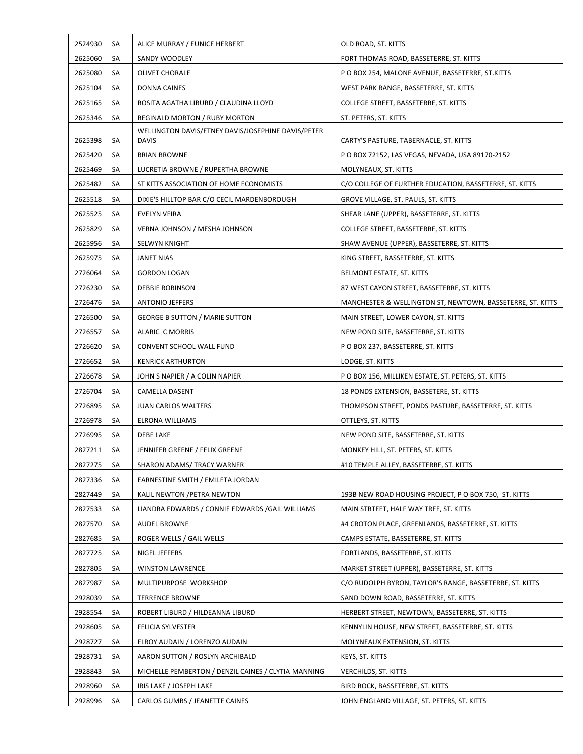| 2524930 | SA | ALICE MURRAY / EUNICE HERBERT                                      | OLD ROAD, ST. KITTS                                        |
|---------|----|--------------------------------------------------------------------|------------------------------------------------------------|
| 2625060 | SA | SANDY WOODLEY                                                      | FORT THOMAS ROAD, BASSETERRE, ST. KITTS                    |
| 2625080 | SA | <b>OLIVET CHORALE</b>                                              | P O BOX 254, MALONE AVENUE, BASSETERRE, ST.KITTS           |
| 2625104 | SA | DONNA CAINES                                                       | WEST PARK RANGE, BASSETERRE, ST. KITTS                     |
| 2625165 | SA | ROSITA AGATHA LIBURD / CLAUDINA LLOYD                              | COLLEGE STREET, BASSETERRE, ST. KITTS                      |
| 2625346 | SA | <b>REGINALD MORTON / RUBY MORTON</b>                               | ST. PETERS, ST. KITTS                                      |
| 2625398 | SA | WELLINGTON DAVIS/ETNEY DAVIS/JOSEPHINE DAVIS/PETER<br><b>DAVIS</b> | CARTY'S PASTURE, TABERNACLE, ST. KITTS                     |
| 2625420 | SA | <b>BRIAN BROWNE</b>                                                | P O BOX 72152, LAS VEGAS, NEVADA, USA 89170-2152           |
| 2625469 | SA | LUCRETIA BROWNE / RUPERTHA BROWNE                                  | MOLYNEAUX, ST. KITTS                                       |
| 2625482 | SA | ST KITTS ASSOCIATION OF HOME ECONOMISTS                            | C/O COLLEGE OF FURTHER EDUCATION, BASSETERRE, ST. KITTS    |
| 2625518 | SA | DIXIE'S HILLTOP BAR C/O CECIL MARDENBOROUGH                        | GROVE VILLAGE, ST. PAULS, ST. KITTS                        |
| 2625525 | SA | EVELYN VEIRA                                                       | SHEAR LANE (UPPER), BASSETERRE, ST. KITTS                  |
| 2625829 | SA | VERNA JOHNSON / MESHA JOHNSON                                      | COLLEGE STREET, BASSETERRE, ST. KITTS                      |
| 2625956 | SA | <b>SELWYN KNIGHT</b>                                               | SHAW AVENUE (UPPER), BASSETERRE, ST. KITTS                 |
| 2625975 | SA | <b>JANET NIAS</b>                                                  | KING STREET, BASSETERRE, ST. KITTS                         |
| 2726064 | SA | <b>GORDON LOGAN</b>                                                | BELMONT ESTATE, ST. KITTS                                  |
| 2726230 | SA | DEBBIE ROBINSON                                                    | 87 WEST CAYON STREET, BASSETERRE, ST. KITTS                |
| 2726476 | SA | <b>ANTONIO JEFFERS</b>                                             | MANCHESTER & WELLINGTON ST, NEWTOWN, BASSETERRE, ST. KITTS |
| 2726500 | SA | <b>GEORGE B SUTTON / MARIE SUTTON</b>                              | MAIN STREET, LOWER CAYON, ST. KITTS                        |
| 2726557 | SA | ALARIC C MORRIS                                                    | NEW POND SITE, BASSETERRE, ST. KITTS                       |
| 2726620 | SA | CONVENT SCHOOL WALL FUND                                           | P O BOX 237, BASSETERRE, ST. KITTS                         |
| 2726652 | SA | <b>KENRICK ARTHURTON</b>                                           | LODGE, ST. KITTS                                           |
| 2726678 | SA | JOHN S NAPIER / A COLIN NAPIER                                     | P O BOX 156, MILLIKEN ESTATE, ST. PETERS, ST. KITTS        |
| 2726704 | SA | CAMELLA DASENT                                                     | 18 PONDS EXTENSION, BASSETERE, ST. KITTS                   |
| 2726895 | SA | JUAN CARLOS WALTERS                                                | THOMPSON STREET, PONDS PASTURE, BASSETERRE, ST. KITTS      |
| 2726978 | SA | ELRONA WILLIAMS                                                    | OTTLEYS, ST. KITTS                                         |
| 2726995 | SA | <b>DEBE LAKE</b>                                                   | NEW POND SITE, BASSETERRE, ST. KITTS                       |
| 2827211 | SA | JENNIFER GREENE / FELIX GREENE                                     | MONKEY HILL, ST. PETERS, ST. KITTS                         |
| 2827275 | SA | SHARON ADAMS/ TRACY WARNER                                         | #10 TEMPLE ALLEY, BASSETERRE, ST. KITTS                    |
|         |    |                                                                    |                                                            |
| 2827336 | SA | EARNESTINE SMITH / EMILETA JORDAN                                  |                                                            |
| 2827449 | SA | KALIL NEWTON / PETRA NEWTON                                        | 193B NEW ROAD HOUSING PROJECT, P O BOX 750, ST. KITTS      |
| 2827533 | SA | LIANDRA EDWARDS / CONNIE EDWARDS / GAIL WILLIAMS                   | MAIN STRTEET, HALF WAY TREE, ST. KITTS                     |
| 2827570 | SA | AUDEL BROWNE                                                       | #4 CROTON PLACE, GREENLANDS, BASSETERRE, ST. KITTS         |
| 2827685 | SA | ROGER WELLS / GAIL WELLS                                           | CAMPS ESTATE, BASSETERRE, ST. KITTS                        |
| 2827725 | SA | NIGEL JEFFERS                                                      | FORTLANDS, BASSETERRE, ST. KITTS                           |
| 2827805 | SA | <b>WINSTON LAWRENCE</b>                                            | MARKET STREET (UPPER), BASSETERRE, ST. KITTS               |
| 2827987 | SA | MULTIPURPOSE WORKSHOP                                              | C/O RUDOLPH BYRON, TAYLOR'S RANGE, BASSETERRE, ST. KITTS   |
| 2928039 | SA | <b>TERRENCE BROWNE</b>                                             | SAND DOWN ROAD, BASSETERRE, ST. KITTS                      |
| 2928554 | SA | ROBERT LIBURD / HILDEANNA LIBURD                                   | HERBERT STREET, NEWTOWN, BASSETERRE, ST. KITTS             |
| 2928605 | SA | FELICIA SYLVESTER                                                  | KENNYLIN HOUSE, NEW STREET, BASSETERRE, ST. KITTS          |
| 2928727 | SA | ELROY AUDAIN / LORENZO AUDAIN                                      | MOLYNEAUX EXTENSION, ST. KITTS                             |
| 2928731 | SA | AARON SUTTON / ROSLYN ARCHIBALD                                    | KEYS, ST. KITTS                                            |
| 2928843 | SA | MICHELLE PEMBERTON / DENZIL CAINES / CLYTIA MANNING                | <b>VERCHILDS, ST. KITTS</b>                                |
| 2928960 | SA | IRIS LAKE / JOSEPH LAKE                                            | BIRD ROCK, BASSETERRE, ST. KITTS                           |
| 2928996 | SA | CARLOS GUMBS / JEANETTE CAINES                                     | JOHN ENGLAND VILLAGE, ST. PETERS, ST. KITTS                |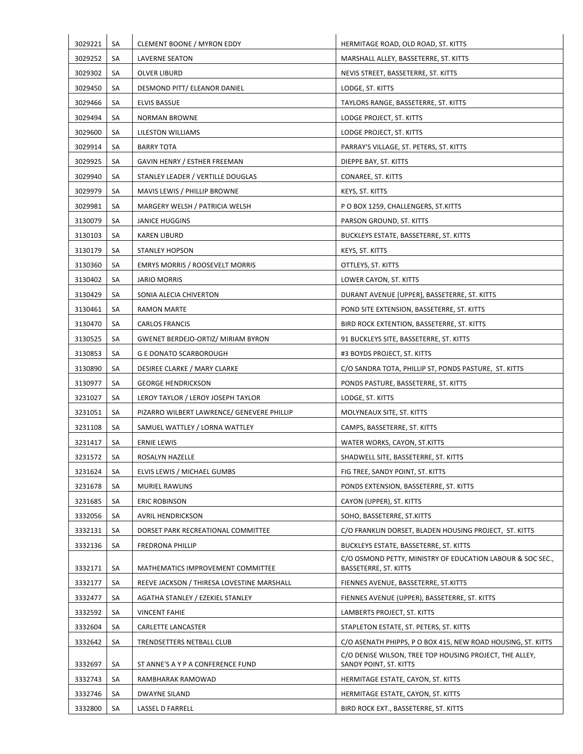| 3029221 | SA        | <b>CLEMENT BOONE / MYRON EDDY</b>          | HERMITAGE ROAD, OLD ROAD, ST. KITTS                                                 |
|---------|-----------|--------------------------------------------|-------------------------------------------------------------------------------------|
| 3029252 | SA        | <b>LAVERNE SEATON</b>                      | MARSHALL ALLEY, BASSETERRE, ST. KITTS                                               |
| 3029302 | SA        | <b>OLVER LIBURD</b>                        | NEVIS STREET, BASSETERRE, ST. KITTS                                                 |
| 3029450 | SA        | DESMOND PITT/ ELEANOR DANIEL               | LODGE, ST. KITTS                                                                    |
| 3029466 | SA        | ELVIS BASSUE                               | TAYLORS RANGE, BASSETERRE, ST. KITTS                                                |
| 3029494 | SA        | <b>NORMAN BROWNE</b>                       | LODGE PROJECT, ST. KITTS                                                            |
| 3029600 | SA        | LILESTON WILLIAMS                          | LODGE PROJECT, ST. KITTS                                                            |
| 3029914 | SA        | <b>BARRY TOTA</b>                          | PARRAY'S VILLAGE, ST. PETERS, ST. KITTS                                             |
| 3029925 | SA        | GAVIN HENRY / ESTHER FREEMAN               | DIEPPE BAY, ST. KITTS                                                               |
| 3029940 | SA        | STANLEY LEADER / VERTILLE DOUGLAS          | CONAREE, ST. KITTS                                                                  |
| 3029979 | SA        | MAVIS LEWIS / PHILLIP BROWNE               | KEYS, ST. KITTS                                                                     |
| 3029981 | SA        | MARGERY WELSH / PATRICIA WELSH             | P O BOX 1259, CHALLENGERS, ST.KITTS                                                 |
| 3130079 | SA        | <b>JANICE HUGGINS</b>                      | PARSON GROUND, ST. KITTS                                                            |
| 3130103 | SA        | <b>KAREN LIBURD</b>                        | BUCKLEYS ESTATE, BASSETERRE, ST. KITTS                                              |
| 3130179 | SA        | <b>STANLEY HOPSON</b>                      | KEYS, ST. KITTS                                                                     |
| 3130360 | SA        | <b>EMRYS MORRIS / ROOSEVELT MORRIS</b>     | OTTLEYS, ST. KITTS                                                                  |
| 3130402 | SA        | JARIO MORRIS                               | LOWER CAYON, ST. KITTS                                                              |
| 3130429 | SA        | SONIA ALECIA CHIVERTON                     | DURANT AVENUE [UPPER], BASSETERRE, ST. KITTS                                        |
| 3130461 | SA        | <b>RAMON MARTE</b>                         | POND SITE EXTENSION, BASSETERRE, ST. KITTS                                          |
| 3130470 | SA        | <b>CARLOS FRANCIS</b>                      | BIRD ROCK EXTENTION, BASSETERRE, ST. KITTS                                          |
| 3130525 | SA        | <b>GWENET BERDEJO-ORTIZ/ MIRIAM BYRON</b>  | 91 BUCKLEYS SITE, BASSETERRE, ST. KITTS                                             |
| 3130853 | <b>SA</b> | <b>G E DONATO SCARBOROUGH</b>              | #3 BOYDS PROJECT, ST. KITTS                                                         |
| 3130890 | SA        | DESIREE CLARKE / MARY CLARKE               | C/O SANDRA TOTA, PHILLIP ST, PONDS PASTURE, ST. KITTS                               |
| 3130977 | SA        | <b>GEORGE HENDRICKSON</b>                  | PONDS PASTURE, BASSETERRE, ST. KITTS                                                |
| 3231027 | SA        | LEROY TAYLOR / LEROY JOSEPH TAYLOR         | LODGE, ST. KITTS                                                                    |
| 3231051 | SA        | PIZARRO WILBERT LAWRENCE/ GENEVERE PHILLIP | MOLYNEAUX SITE, ST. KITTS                                                           |
| 3231108 | SA        | SAMUEL WATTLEY / LORNA WATTLEY             | CAMPS, BASSETERRE, ST. KITTS                                                        |
| 3231417 | SA        | <b>ERNIE LEWIS</b>                         | WATER WORKS, CAYON, ST.KITTS                                                        |
| 3231572 | SA        | ROSALYN HAZELLE                            | SHADWELL SITE, BASSETERRE, ST. KITTS                                                |
| 3231624 | SA        | ELVIS LEWIS / MICHAEL GUMBS                | FIG TREE, SANDY POINT, ST. KITTS                                                    |
| 3231678 | SA        | MURIEL RAWLINS                             | PONDS EXTENSION, BASSETERRE, ST. KITTS                                              |
| 3231685 | SA        | <b>ERIC ROBINSON</b>                       | CAYON (UPPER), ST. KITTS                                                            |
| 3332056 | SA        | <b>AVRIL HENDRICKSON</b>                   | SOHO, BASSETERRE, ST.KITTS                                                          |
| 3332131 | SA        | DORSET PARK RECREATIONAL COMMITTEE         | C/O FRANKLIN DORSET, BLADEN HOUSING PROJECT, ST. KITTS                              |
| 3332136 | SA        | <b>FREDRONA PHILLIP</b>                    | BUCKLEYS ESTATE, BASSETERRE, ST. KITTS                                              |
| 3332171 | SA        | MATHEMATICS IMPROVEMENT COMMITTEE          | C/O OSMOND PETTY, MINISTRY OF EDUCATION LABOUR & SOC SEC.,<br>BASSETERRE, ST. KITTS |
| 3332177 | SA        | REEVE JACKSON / THIRESA LOVESTINE MARSHALL | FIENNES AVENUE, BASSETERRE, ST.KITTS                                                |
| 3332477 | SA        | AGATHA STANLEY / EZEKIEL STANLEY           | FIENNES AVENUE (UPPER), BASSETERRE, ST. KITTS                                       |
| 3332592 | SA        | <b>VINCENT FAHIE</b>                       | LAMBERTS PROJECT, ST. KITTS                                                         |
| 3332604 | SA        | CARLETTE LANCASTER                         | STAPLETON ESTATE, ST. PETERS, ST. KITTS                                             |
| 3332642 | SA        | TRENDSETTERS NETBALL CLUB                  | C/O ASENATH PHIPPS, P O BOX 415, NEW ROAD HOUSING, ST. KITTS                        |
| 3332697 | SA        | ST ANNE'S A Y P A CONFERENCE FUND          | C/O DENISE WILSON, TREE TOP HOUSING PROJECT, THE ALLEY,<br>SANDY POINT, ST. KITTS   |
| 3332743 | SA        | RAMBHARAK RAMOWAD                          | HERMITAGE ESTATE, CAYON, ST. KITTS                                                  |
| 3332746 | SA        | <b>DWAYNE SILAND</b>                       | HERMITAGE ESTATE, CAYON, ST. KITTS                                                  |
|         |           |                                            |                                                                                     |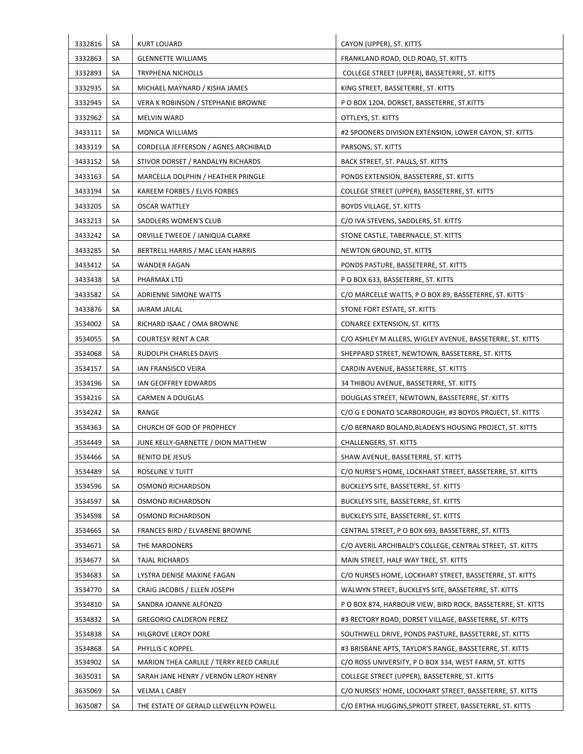| 3332816 | SA | <b>KURT LOUARD</b>                       | CAYON (UPPER), ST. KITTS                                    |
|---------|----|------------------------------------------|-------------------------------------------------------------|
| 3332863 | SA | <b>GLENNETTE WILLIAMS</b>                | FRANKLAND ROAD, OLD ROAD, ST. KITTS                         |
| 3332893 | SA | <b>TRYPHENA NICHOLLS</b>                 | COLLEGE STREET (UPPER), BASSETERRE, ST. KITTS               |
| 3332935 | SA | MICHAEL MAYNARD / KISHA JAMES            | KING STREET, BASSETERRE, ST. KITTS                          |
| 3332945 | SA | VERA K ROBINSON / STEPHANIE BROWNE       | P O BOX 1204, DORSET, BASSETERRE, ST.KITTS                  |
| 3332962 | SA | <b>MELVIN WARD</b>                       | OTTLEYS, ST. KITTS                                          |
| 3433111 | SA | <b>MONICA WILLIAMS</b>                   | #2 SPOONERS DIVISION EXTENSION, LOWER CAYON, ST. KITTS      |
| 3433119 | SA | CORDELLA JEFFERSON / AGNES ARCHIBALD     | PARSONS, ST. KITTS                                          |
| 3433152 | SA | STIVOR DORSET / RANDALYN RICHARDS        | BACK STREET, ST. PAULS, ST. KITTS                           |
| 3433163 | SA | MARCELLA DOLPHIN / HEATHER PRINGLE       | PONDS EXTENSION, BASSETERRE, ST. KITTS                      |
| 3433194 | SA | KAREEM FORBES / ELVIS FORBES             | COLLEGE STREET (UPPER), BASSETERRE, ST. KITTS               |
| 3433205 | SA | <b>OSCAR WATTLEY</b>                     | BOYDS VILLAGE, ST. KITTS                                    |
| 3433213 | SA | SADDLERS WOMEN'S CLUB                    | C/O IVA STEVENS, SADDLERS, ST. KITTS                        |
| 3433242 | SA | ORVILLE TWEEDE / JANIQUA CLARKE          | STONE CASTLE, TABERNACLE, ST. KITTS                         |
| 3433285 | SA | BERTRELL HARRIS / MAC LEAN HARRIS        | NEWTON GROUND, ST. KITTS                                    |
| 3433412 | SA | <b>WANDER FAGAN</b>                      | PONDS PASTURE, BASSETERRE, ST. KITTS                        |
| 3433438 | SA | PHARMAX LTD                              | P O BOX 633, BASSETERRE, ST. KITTS                          |
| 3433582 | SA | ADRIENNE SIMONE WATTS                    | C/O MARCELLE WATTS, P O BOX 89, BASSETERRE, ST. KITTS       |
| 3433876 | SA | JAIRAM JAILAL                            | STONE FORT ESTATE, ST. KITTS                                |
| 3534002 | SA | RICHARD ISAAC / OMA BROWNE               | CONAREE EXTENSION, ST. KITTS                                |
| 3534055 | SA | COURTESY RENT A CAR                      | C/O ASHLEY M ALLERS, WIGLEY AVENUE, BASSETERRE, ST. KITTS   |
| 3534068 | SA | RUDOLPH CHARLES DAVIS                    | SHEPPARD STREET, NEWTOWN, BASSETERRE, ST. KITTS             |
| 3534157 | SA | IAN FRANSISCO VEIRA                      | CARDIN AVENUE, BASSETERRE, ST. KITTS                        |
| 3534196 | SA | IAN GEOFFREY EDWARDS                     | 34 THIBOU AVENUE, BASSETERRE, ST. KITTS                     |
| 3534216 | SA | CARMEN A DOUGLAS                         | DOUGLAS STREET, NEWTOWN, BASSETERRE, ST. KITTS              |
| 3534242 | SA | RANGE                                    | C/O G E DONATO SCARBOROUGH, #3 BOYDS PROJECT, ST. KITTS     |
| 3534363 | SA | CHURCH OF GOD OF PROPHECY                | C/O BERNARD BOLAND, BLADEN'S HOUSING PROJECT, ST. KITTS     |
| 3534449 | SA | JUNE KELLY-GARNETTE / DION MATTHEW       | CHALLENGERS, ST. KITTS                                      |
| 3534466 | SA | <b>BENITO DE JESUS</b>                   | SHAW AVENUE, BASSETERRE, ST. KITTS                          |
| 3534489 | SA | ROSELINE V TUITT                         | C/O NURSE'S HOME, LOCKHART STREET, BASSETERRE, ST. KITTS    |
| 3534596 | SA | OSMOND RICHARDSON                        | <b>BUCKLEYS SITE, BASSETERRE, ST. KITTS</b>                 |
| 3534597 | SA | OSMOND RICHARDSON                        | <b>BUCKLEYS SITE, BASSETERRE, ST. KITTS</b>                 |
| 3534598 | SA | OSMOND RICHARDSON                        | <b>BUCKLEYS SITE, BASSETERRE, ST. KITTS</b>                 |
| 3534665 | SA | FRANCES BIRD / ELVARENE BROWNE           | CENTRAL STREET, P O BOX 693, BASSETERRE, ST. KITTS          |
| 3534671 | SA | THE MAROONERS                            | C/O AVERIL ARCHIBALD'S COLLEGE, CENTRAL STREET, ST. KITTS   |
| 3534677 | SA | TAJAL RICHARDS                           | MAIN STREET, HALF WAY TREE, ST. KITTS                       |
| 3534683 | SA | LYSTRA DENISE MAXINE FAGAN               | C/O NURSES HOME, LOCKHART STREET, BASSETERRE, ST. KITTS     |
| 3534770 | SA | CRAIG JACOBIS / ELLEN JOSEPH             | WALWYN STREET, BUCKLEYS SITE, BASSETERRE, ST. KITTS         |
| 3534810 | SA | SANDRA JOANNE ALFONZO                    | P O BOX 874, HARBOUR VIEW, BIRD ROCK, BASSETERRE, ST. KITTS |
| 3534832 | SA | <b>GREGORIO CALDERON PEREZ</b>           | #3 RECTORY ROAD, DORSET VILLAGE, BASSETERRE, ST. KITTS      |
| 3534838 | SA | HILGROVE LEROY DORE                      | SOUTHWELL DRIVE, PONDS PASTURE, BASSETERRE, ST. KITTS       |
| 3534868 | SA | PHYLLIS C KOPPEL                         | #3 BRISBANE APTS, TAYLOR'S RANGE, BASSETERRE, ST. KITTS     |
| 3534902 | SA | MARION THEA CARLILE / TERRY REED CARLILE | C/O ROSS UNIVERSITY, P O BOX 334, WEST FARM, ST. KITTS      |
| 3635031 | SA | SARAH JANE HENRY / VERNON LEROY HENRY    | COLLEGE STREET (UPPER), BASSETERRE, ST. KITTS               |
| 3635069 | SA | VELMA L CABEY                            | C/O NURSES' HOME, LOCKHART STREET, BASSETERRE, ST. KITTS    |
| 3635087 | SA | THE ESTATE OF GERALD LLEWELLYN POWELL    | C/O ERTHA HUGGINS, SPROTT STREET, BASSETERRE, ST. KITTS     |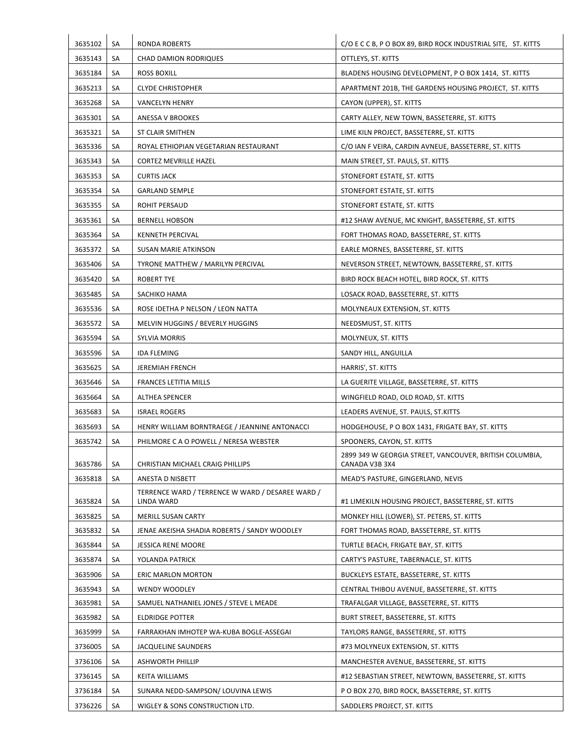| 3635102 | SA | <b>RONDA ROBERTS</b>                                           | C/O E C C B, P O BOX 89, BIRD ROCK INDUSTRIAL SITE, ST. KITTS             |
|---------|----|----------------------------------------------------------------|---------------------------------------------------------------------------|
| 3635143 | SA | <b>CHAD DAMION RODRIQUES</b>                                   | OTTLEYS, ST. KITTS                                                        |
| 3635184 | SA | <b>ROSS BOXILL</b>                                             | BLADENS HOUSING DEVELOPMENT, P O BOX 1414, ST. KITTS                      |
| 3635213 | SA | <b>CLYDE CHRISTOPHER</b>                                       | APARTMENT 201B, THE GARDENS HOUSING PROJECT, ST. KITTS                    |
| 3635268 | SA | <b>VANCELYN HENRY</b>                                          | CAYON (UPPER), ST. KITTS                                                  |
| 3635301 | SA | ANESSA V BROOKES                                               | CARTY ALLEY, NEW TOWN, BASSETERRE, ST. KITTS                              |
| 3635321 | SA | ST CLAIR SMITHEN                                               | LIME KILN PROJECT, BASSETERRE, ST. KITTS                                  |
| 3635336 | SA | ROYAL ETHIOPIAN VEGETARIAN RESTAURANT                          | C/O IAN F VEIRA, CARDIN AVNEUE, BASSETERRE, ST. KITTS                     |
| 3635343 | SA | <b>CORTEZ MEVRILLE HAZEL</b>                                   | MAIN STREET, ST. PAULS, ST. KITTS                                         |
| 3635353 | SA | <b>CURTIS JACK</b>                                             | STONEFORT ESTATE, ST. KITTS                                               |
| 3635354 | SA | <b>GARLAND SEMPLE</b>                                          | STONEFORT ESTATE, ST. KITTS                                               |
| 3635355 | SA | ROHIT PERSAUD                                                  | STONEFORT ESTATE, ST. KITTS                                               |
| 3635361 | SA | <b>BERNELL HOBSON</b>                                          | #12 SHAW AVENUE, MC KNIGHT, BASSETERRE, ST. KITTS                         |
| 3635364 | SA | <b>KENNETH PERCIVAL</b>                                        | FORT THOMAS ROAD, BASSETERRE, ST. KITTS                                   |
| 3635372 | SA | SUSAN MARIE ATKINSON                                           | EARLE MORNES, BASSETERRE, ST. KITTS                                       |
| 3635406 | SA | TYRONE MATTHEW / MARILYN PERCIVAL                              | NEVERSON STREET, NEWTOWN, BASSETERRE, ST. KITTS                           |
| 3635420 | SA | <b>ROBERT TYE</b>                                              | BIRD ROCK BEACH HOTEL, BIRD ROCK, ST. KITTS                               |
| 3635485 | SA | SACHIKO HAMA                                                   | LOSACK ROAD, BASSETERRE, ST. KITTS                                        |
| 3635536 | SA | ROSE IDETHA P NELSON / LEON NATTA                              | MOLYNEAUX EXTENSION, ST. KITTS                                            |
| 3635572 | SA | MELVIN HUGGINS / BEVERLY HUGGINS                               | NEEDSMUST, ST. KITTS                                                      |
| 3635594 | SA | <b>SYLVIA MORRIS</b>                                           | MOLYNEUX, ST. KITTS                                                       |
| 3635596 | SA | <b>IDA FLEMING</b>                                             | SANDY HILL, ANGUILLA                                                      |
| 3635625 | SA | <b>JEREMIAH FRENCH</b>                                         | HARRIS', ST. KITTS                                                        |
| 3635646 | SA | FRANCES LETITIA MILLS                                          | LA GUERITE VILLAGE, BASSETERRE, ST. KITTS                                 |
| 3635664 | SA | <b>ALTHEA SPENCER</b>                                          | WINGFIELD ROAD, OLD ROAD, ST. KITTS                                       |
| 3635683 | SA | <b>ISRAEL ROGERS</b>                                           | LEADERS AVENUE, ST. PAULS, ST.KITTS                                       |
| 3635693 | SA | HENRY WILLIAM BORNTRAEGE / JEANNINE ANTONACCI                  | HODGEHOUSE, P O BOX 1431, FRIGATE BAY, ST. KITTS                          |
| 3635742 | SA | PHILMORE C A O POWELL / NERESA WEBSTER                         | SPOONERS, CAYON, ST. KITTS                                                |
| 3635786 | SA | CHRISTIAN MICHAEL CRAIG PHILLIPS                               | 2899 349 W GEORGIA STREET, VANCOUVER, BRITISH COLUMBIA,<br>CANADA V3B 3X4 |
| 3635818 | SA | ANESTA D NISBETT                                               | MEAD'S PASTURE, GINGERLAND, NEVIS                                         |
| 3635824 | SA | TERRENCE WARD / TERRENCE W WARD / DESAREE WARD /<br>LINDA WARD | #1 LIMEKILN HOUSING PROJECT, BASSETERRE, ST. KITTS                        |
| 3635825 | SA | <b>MERILL SUSAN CARTY</b>                                      | MONKEY HILL (LOWER), ST. PETERS, ST. KITTS                                |
| 3635832 | SA | JENAE AKEISHA SHADIA ROBERTS / SANDY WOODLEY                   | FORT THOMAS ROAD, BASSETERRE, ST. KITTS                                   |
| 3635844 | SA | <b>JESSICA RENE MOORE</b>                                      | TURTLE BEACH, FRIGATE BAY, ST. KITTS                                      |
| 3635874 | SA | YOLANDA PATRICK                                                | CARTY'S PASTURE, TABERNACLE, ST. KITTS                                    |
| 3635906 | SA | ERIC MARLON MORTON                                             | BUCKLEYS ESTATE, BASSETERRE, ST. KITTS                                    |
| 3635943 | SA | <b>WENDY WOODLEY</b>                                           | CENTRAL THIBOU AVENUE, BASSETERRE, ST. KITTS                              |
| 3635981 | SA | SAMUEL NATHANIEL JONES / STEVE L MEADE                         | TRAFALGAR VILLAGE, BASSETERRE, ST. KITTS                                  |
| 3635982 | SA | <b>ELDRIDGE POTTER</b>                                         | BURT STREET, BASSETERRE, ST. KITTS                                        |
| 3635999 | SA | FARRAKHAN IMHOTEP WA-KUBA BOGLE-ASSEGAI                        | TAYLORS RANGE, BASSETERRE, ST. KITTS                                      |
| 3736005 | SA | JACQUELINE SAUNDERS                                            | #73 MOLYNEUX EXTENSION, ST. KITTS                                         |
| 3736106 | SA | <b>ASHWORTH PHILLIP</b>                                        | MANCHESTER AVENUE, BASSETERRE, ST. KITTS                                  |
| 3736145 | SA | KEITA WILLIAMS                                                 | #12 SEBASTIAN STREET, NEWTOWN, BASSETERRE, ST. KITTS                      |
| 3736184 | SA | SUNARA NEDD-SAMPSON/ LOUVINA LEWIS                             | P O BOX 270, BIRD ROCK, BASSETERRE, ST. KITTS                             |
|         |    |                                                                |                                                                           |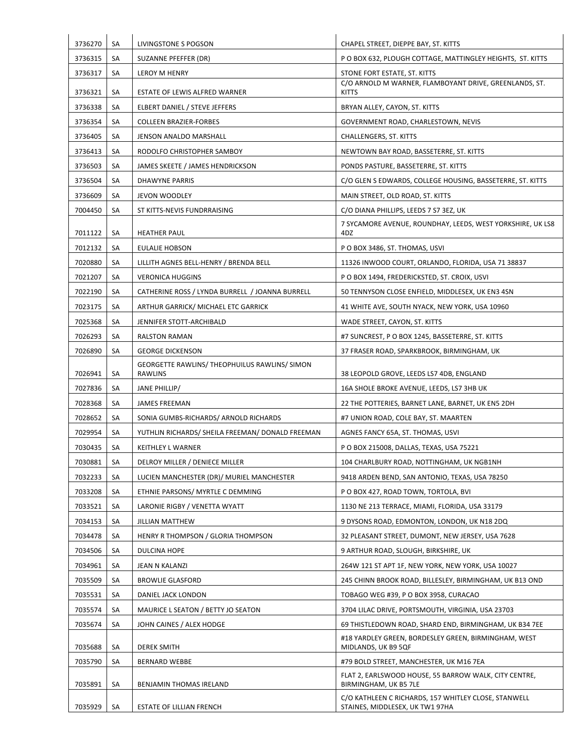| 3736270 | SA | LIVINGSTONE S POGSON                                            | CHAPEL STREET, DIEPPE BAY, ST. KITTS                                                    |
|---------|----|-----------------------------------------------------------------|-----------------------------------------------------------------------------------------|
| 3736315 | SA | SUZANNE PFEFFER (DR)                                            | P O BOX 632, PLOUGH COTTAGE, MATTINGLEY HEIGHTS, ST. KITTS                              |
| 3736317 | SA | <b>LEROY M HENRY</b>                                            | STONE FORT ESTATE, ST. KITTS                                                            |
| 3736321 | SA | ESTATE OF LEWIS ALFRED WARNER                                   | C/O ARNOLD M WARNER, FLAMBOYANT DRIVE, GREENLANDS, ST.<br><b>KITTS</b>                  |
| 3736338 | SA | ELBERT DANIEL / STEVE JEFFERS                                   | BRYAN ALLEY, CAYON, ST. KITTS                                                           |
| 3736354 | SA | <b>COLLEEN BRAZIER-FORBES</b>                                   | GOVERNMENT ROAD, CHARLESTOWN, NEVIS                                                     |
| 3736405 | SA | JENSON ANALDO MARSHALL                                          | <b>CHALLENGERS, ST. KITTS</b>                                                           |
| 3736413 | SA | RODOLFO CHRISTOPHER SAMBOY                                      | NEWTOWN BAY ROAD, BASSETERRE, ST. KITTS                                                 |
| 3736503 | SA | JAMES SKEETE / JAMES HENDRICKSON                                | PONDS PASTURE, BASSETERRE, ST. KITTS                                                    |
| 3736504 | SA | DHAWYNE PARRIS                                                  | C/O GLEN S EDWARDS, COLLEGE HOUSING, BASSETERRE, ST. KITTS                              |
| 3736609 | SA | JEVON WOODLEY                                                   | MAIN STREET, OLD ROAD, ST. KITTS                                                        |
| 7004450 | SA | ST KITTS-NEVIS FUNDRRAISING                                     | C/O DIANA PHILLIPS, LEEDS 7 S7 3EZ, UK                                                  |
| 7011122 | SA | <b>HEATHER PAUL</b>                                             | 7 SYCAMORE AVENUE, ROUNDHAY, LEEDS, WEST YORKSHIRE, UK LS8<br>4DZ                       |
| 7012132 | SA | EULALIE HOBSON                                                  | P O BOX 3486, ST. THOMAS, USVI                                                          |
| 7020880 | SA | LILLITH AGNES BELL-HENRY / BRENDA BELL                          | 11326 INWOOD COURT, ORLANDO, FLORIDA, USA 71 38837                                      |
| 7021207 | SA | <b>VERONICA HUGGINS</b>                                         | P O BOX 1494, FREDERICKSTED, ST. CROIX, USVI                                            |
| 7022190 | SA | CATHERINE ROSS / LYNDA BURRELL / JOANNA BURRELL                 | 50 TENNYSON CLOSE ENFIELD, MIDDLESEX, UK EN3 4SN                                        |
| 7023175 | SA | ARTHUR GARRICK/ MICHAEL ETC GARRICK                             | 41 WHITE AVE, SOUTH NYACK, NEW YORK, USA 10960                                          |
| 7025368 | SA | JENNIFER STOTT-ARCHIBALD                                        | WADE STREET, CAYON, ST. KITTS                                                           |
| 7026293 | SA | <b>RALSTON RAMAN</b>                                            | #7 SUNCREST, P O BOX 1245, BASSETERRE, ST. KITTS                                        |
| 7026890 | SA | <b>GEORGE DICKENSON</b>                                         | 37 FRASER ROAD, SPARKBROOK, BIRMINGHAM, UK                                              |
| 7026941 | SA | GEORGETTE RAWLINS/ THEOPHUILUS RAWLINS/ SIMON<br><b>RAWLINS</b> | 38 LEOPOLD GROVE, LEEDS LS7 4DB, ENGLAND                                                |
| 7027836 | SA | JANE PHILLIP/                                                   | 16A SHOLE BROKE AVENUE, LEEDS, LS7 3HB UK                                               |
| 7028368 | SA | <b>JAMES FREEMAN</b>                                            | 22 THE POTTERIES, BARNET LANE, BARNET, UK EN5 2DH                                       |
| 7028652 | SA | SONIA GUMBS-RICHARDS/ ARNOLD RICHARDS                           | #7 UNION ROAD, COLE BAY, ST. MAARTEN                                                    |
| 7029954 | SA | YUTHLIN RICHARDS/ SHEILA FREEMAN/ DONALD FREEMAN                | AGNES FANCY 65A, ST. THOMAS, USVI                                                       |
| 7030435 | SA | KEITHLEY L WARNER                                               | P O BOX 215008, DALLAS, TEXAS, USA 75221                                                |
| 7030881 | SA | DELROY MILLER / DENIECE MILLER                                  | 104 CHARLBURY ROAD, NOTTINGHAM, UK NGB1NH                                               |
| 7032233 | SA | LUCIEN MANCHESTER (DR)/ MURIEL MANCHESTER                       | 9418 ARDEN BEND, SAN ANTONIO, TEXAS, USA 78250                                          |
| 7033208 | SA | ETHNIE PARSONS/ MYRTLE C DEMMING                                | P O BOX 427, ROAD TOWN, TORTOLA, BVI                                                    |
| 7033521 | SA | LARONIE RIGBY / VENETTA WYATT                                   | 1130 NE 213 TERRACE, MIAMI, FLORIDA, USA 33179                                          |
| 7034153 | SA | JILLIAN MATTHEW                                                 | 9 DYSONS ROAD, EDMONTON, LONDON, UK N18 2DQ                                             |
| 7034478 | SA | HENRY R THOMPSON / GLORIA THOMPSON                              | 32 PLEASANT STREET, DUMONT, NEW JERSEY, USA 7628                                        |
| 7034506 | SA | DULCINA HOPE                                                    | 9 ARTHUR ROAD, SLOUGH, BIRKSHIRE, UK                                                    |
| 7034961 | SA | JEAN N KALANZI                                                  | 264W 121 ST APT 1F, NEW YORK, NEW YORK, USA 10027                                       |
| 7035509 | SA | <b>BROWLIE GLASFORD</b>                                         | 245 CHINN BROOK ROAD, BILLESLEY, BIRMINGHAM, UK B13 OND                                 |
| 7035531 | SA | DANIEL JACK LONDON                                              | TOBAGO WEG #39, P O BOX 3958, CURACAO                                                   |
| 7035574 | SA | MAURICE L SEATON / BETTY JO SEATON                              | 3704 LILAC DRIVE, PORTSMOUTH, VIRGINIA, USA 23703                                       |
| 7035674 | SA | JOHN CAINES / ALEX HODGE                                        | 69 THISTLEDOWN ROAD, SHARD END, BIRMINGHAM, UK B34 7EE                                  |
| 7035688 | SA | <b>DEREK SMITH</b>                                              | #18 YARDLEY GREEN, BORDESLEY GREEN, BIRMINGHAM, WEST<br>MIDLANDS, UK B9 5QF             |
| 7035790 | SA | <b>BERNARD WEBBE</b>                                            | #79 BOLD STREET, MANCHESTER, UK M16 7EA                                                 |
| 7035891 | SA | BENJAMIN THOMAS IRELAND                                         | FLAT 2, EARLSWOOD HOUSE, 55 BARROW WALK, CITY CENTRE,<br>BIRMINGHAM, UK B5 7LE          |
| 7035929 | SA | ESTATE OF LILLIAN FRENCH                                        | C/O KATHLEEN C RICHARDS, 157 WHITLEY CLOSE, STANWELL<br>STAINES, MIDDLESEX, UK TW1 97HA |
|         |    |                                                                 |                                                                                         |